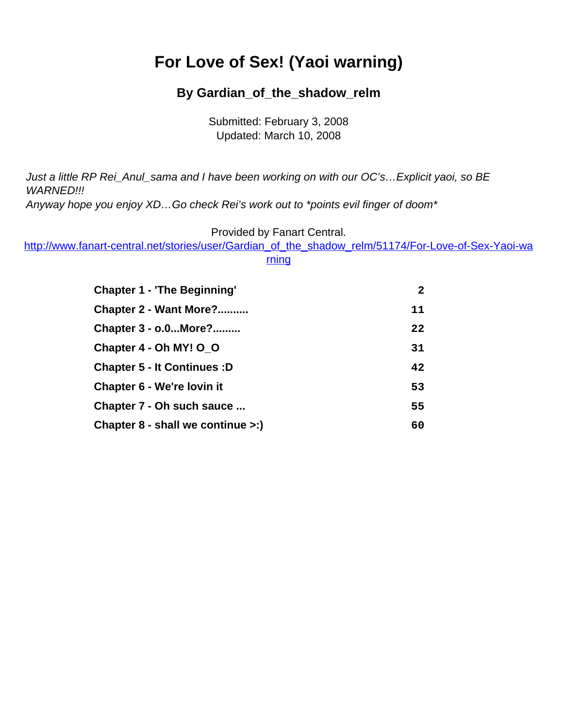# <span id="page-0-0"></span>**For Love of Sex! (Yaoi warning)**

#### **By Gardian\_of\_the\_shadow\_relm**

Submitted: February 3, 2008 Updated: March 10, 2008

Just a little RP Rei\_Anul\_sama and I have been working on with our OC's…Explicit yaoi, so BE WARNED!!!

Anyway hope you enjoy XD...Go check Rei's work out to \*points evil finger of doom\*

Provided by Fanart Central.

[http://www.fanart-central.net/stories/user/Gardian\\_of\\_the\\_shadow\\_relm/51174/For-Love-of-Sex-Yaoi-wa](#page-0-0)

[rning](#page-0-0)

| <b>Chapter 1 - 'The Beginning'</b>        | $\mathbf{2}$ |
|-------------------------------------------|--------------|
| Chapter 2 - Want More?                    | 11           |
| Chapter 3 - o.0More?                      | 22           |
| Chapter 4 - Oh MY! O_O                    | 31           |
| <b>Chapter 5 - It Continues : D</b>       | 42           |
| Chapter 6 - We're lovin it                | 53           |
| Chapter 7 - Oh such sauce                 | 55           |
| Chapter $8$ - shall we continue $\geq$ :) | 60           |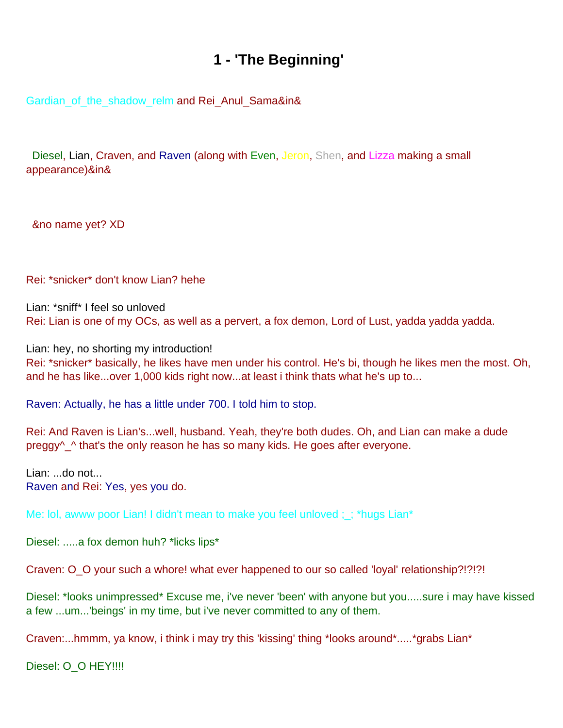## **1 - 'The Beginning'**

<span id="page-1-0"></span>Gardian\_of\_the\_shadow\_relm and Rei\_Anul\_Sama&in&

Diesel, Lian, Craven, and Raven (along with Even, Jeron, Shen, and Lizza making a small appearance)&in&

&no name yet? XD

Rei: \*snicker\* don't know Lian? hehe

Lian: \*sniff\* I feel so unloved Rei: Lian is one of my OCs, as well as a pervert, a fox demon, Lord of Lust, yadda yadda yadda.

Lian: hey, no shorting my introduction! Rei: \*snicker\* basically, he likes have men under his control. He's bi, though he likes men the most. Oh, and he has like...over 1,000 kids right now...at least i think thats what he's up to...

Raven: Actually, he has a little under 700. I told him to stop.

Rei: And Raven is Lian's...well, husband. Yeah, they're both dudes. Oh, and Lian can make a dude preggy<sup> $\wedge$ </sup> that's the only reason he has so many kids. He goes after everyone.

Lian: ...do not... Raven and Rei: Yes, yes you do.

Me: lol, awww poor Lian! I didn't mean to make you feel unloved ; \_; \*hugs Lian\*

Diesel: .....a fox demon huh? \*licks lips\*

Craven: O\_O your such a whore! what ever happened to our so called 'loyal' relationship?!?!?!

Diesel: \*looks unimpressed\* Excuse me, i've never 'been' with anyone but you.....sure i may have kissed a few ...um...'beings' in my time, but i've never committed to any of them.

Craven:...hmmm, ya know, i think i may try this 'kissing' thing \*looks around\*.....\*grabs Lian\*

Diesel: O\_O HEY!!!!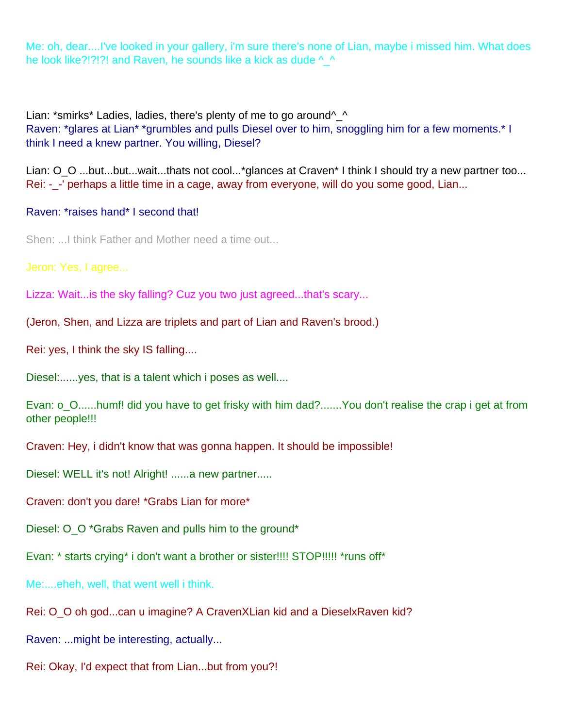Me: oh, dear....I've looked in your gallery, i'm sure there's none of Lian, maybe i missed him. What does he look like?!?!?! and Raven, he sounds like a kick as dude  $\wedge \wedge$ 

Lian: \*smirks\* Ladies, ladies, there's plenty of me to go around^\_^ Raven: \*glares at Lian\* \*grumbles and pulls Diesel over to him, snoggling him for a few moments.\* I think I need a knew partner. You willing, Diesel?

Lian: O\_O ...but...but...wait...that s not cool...\*glances at Craven\* I think I should try a new partner too... Rei: - -' perhaps a little time in a cage, away from everyone, will do you some good, Lian...

#### Raven: \*raises hand\* I second that!

Shen: ...I think Father and Mother need a time out...

Jeron: Yes, I agree...

Lizza: Wait...is the sky falling? Cuz you two just agreed...that's scary...

(Jeron, Shen, and Lizza are triplets and part of Lian and Raven's brood.)

Rei: yes, I think the sky IS falling....

Diesel:......yes, that is a talent which i poses as well....

Evan: o O......humf! did you have to get frisky with him dad?.......You don't realise the crap i get at from other people!!!

Craven: Hey, i didn't know that was gonna happen. It should be impossible!

Diesel: WELL it's not! Alright! ......a new partner.....

Craven: don't you dare! \*Grabs Lian for more\*

Diesel: O\_O \*Grabs Raven and pulls him to the ground\*

Evan: \* starts crying\* i don't want a brother or sister!!!! STOP!!!!! \*runs off\*

Me:....eheh, well, that went well i think.

Rei: O O oh god...can u imagine? A CravenXLian kid and a DieselxRaven kid?

Raven: ...might be interesting, actually...

Rei: Okay, I'd expect that from Lian...but from you?!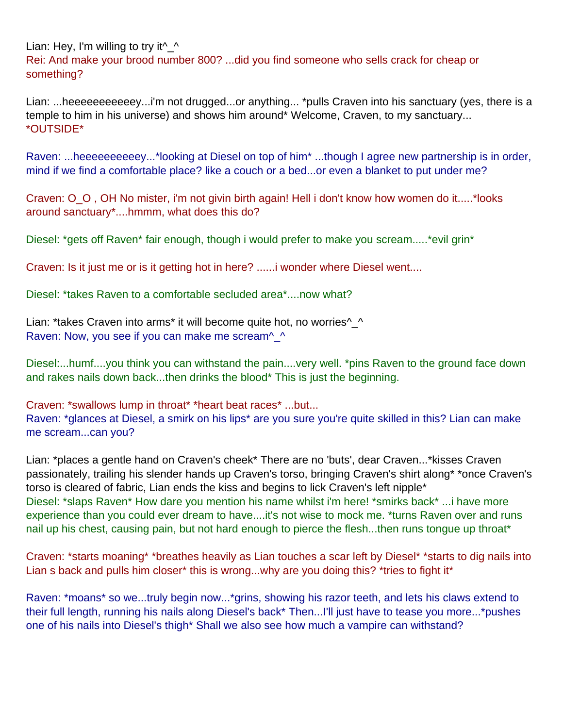Lian: Hey, I'm willing to try it  $\wedge$ Rei: And make your brood number 800? ...did you find someone who sells crack for cheap or something?

Lian: ...heeeeeeeeeeey...i'm not drugged...or anything... \*pulls Craven into his sanctuary (yes, there is a temple to him in his universe) and shows him around\* Welcome, Craven, to my sanctuary... \*OUTSIDE\*

Raven: ...heeeeeeeeeey...\*looking at Diesel on top of him\* ...though I agree new partnership is in order, mind if we find a comfortable place? like a couch or a bed...or even a blanket to put under me?

Craven: O\_O , OH No mister, i'm not givin birth again! Hell i don't know how women do it.....\*looks around sanctuary\*....hmmm, what does this do?

Diesel: \*gets off Raven\* fair enough, though i would prefer to make you scream..... \*evil grin\*

Craven: Is it just me or is it getting hot in here? ......i wonder where Diesel went....

Diesel: \*takes Raven to a comfortable secluded area\*....now what?

Lian: \*takes Craven into arms\* it will become quite hot, no worries^\_^ Raven: Now, you see if you can make me scream<sup>^</sup> ^

Diesel:...humf....you think you can withstand the pain....very well. \*pins Raven to the ground face down and rakes nails down back...then drinks the blood\* This is just the beginning.

Craven: \*swallows lump in throat\* \*heart beat races\* ...but... Raven: \*glances at Diesel, a smirk on his lips\* are you sure you're quite skilled in this? Lian can make me scream...can you?

Lian: \*places a gentle hand on Craven's cheek\* There are no 'buts', dear Craven...\*kisses Craven passionately, trailing his slender hands up Craven's torso, bringing Craven's shirt along\* \*once Craven's torso is cleared of fabric, Lian ends the kiss and begins to lick Craven's left nipple\* Diesel: \*slaps Raven\* How dare you mention his name whilst i'm here! \*smirks back\* ...i have more experience than you could ever dream to have....it's not wise to mock me. \*turns Raven over and runs nail up his chest, causing pain, but not hard enough to pierce the flesh...then runs tongue up throat\*

Craven: \*starts moaning\* \*breathes heavily as Lian touches a scar left by Diesel\* \*starts to dig nails into Lian s back and pulls him closer\* this is wrong...why are you doing this? \*tries to fight it\*

Raven: \*moans\* so we...truly begin now...\*grins, showing his razor teeth, and lets his claws extend to their full length, running his nails along Diesel's back\* Then...I'll just have to tease you more...\*pushes one of his nails into Diesel's thigh\* Shall we also see how much a vampire can withstand?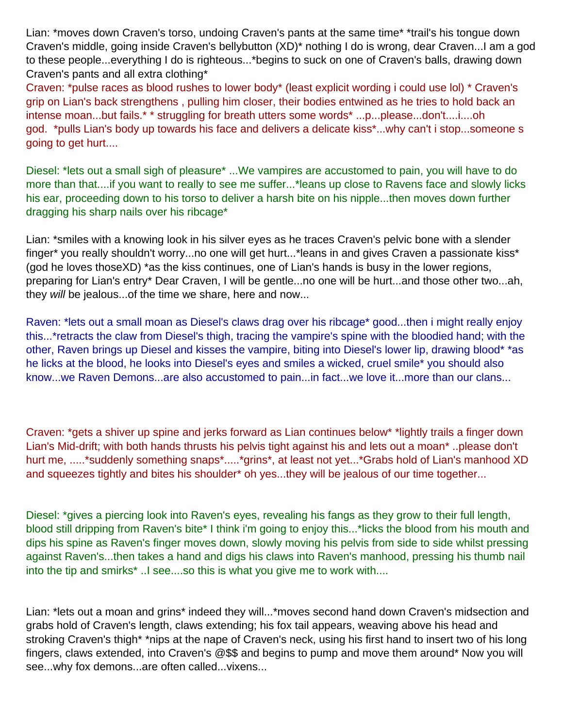Lian: \*moves down Craven's torso, undoing Craven's pants at the same time\* \*trail's his tongue down Craven's middle, going inside Craven's bellybutton (XD)\* nothing I do is wrong, dear Craven...I am a god to these people...everything I do is righteous...\*begins to suck on one of Craven's balls, drawing down Craven's pants and all extra clothing\*

Craven: \*pulse races as blood rushes to lower body\* (least explicit wording i could use lol) \* Craven's grip on Lian's back strengthens , pulling him closer, their bodies entwined as he tries to hold back an intense moan...but fails.\* \* struggling for breath utters some words\* ...p...please...don't....i....oh god. \*pulls Lian's body up towards his face and delivers a delicate kiss\*...why can't i stop...someone s going to get hurt....

Diesel: \*lets out a small sigh of pleasure\* ...We vampires are accustomed to pain, you will have to do more than that....if you want to really to see me suffer...\*leans up close to Ravens face and slowly licks his ear, proceeding down to his torso to deliver a harsh bite on his nipple...then moves down further dragging his sharp nails over his ribcage\*

Lian: \*smiles with a knowing look in his silver eyes as he traces Craven's pelvic bone with a slender finger\* you really shouldn't worry...no one will get hurt...\*leans in and gives Craven a passionate kiss\* (god he loves thoseXD) \*as the kiss continues, one of Lian's hands is busy in the lower regions, preparing for Lian's entry\* Dear Craven, I will be gentle...no one will be hurt...and those other two...ah, they will be jealous...of the time we share, here and now...

Raven: \*lets out a small moan as Diesel's claws drag over his ribcage\* good...then i might really enjoy this...\*retracts the claw from Diesel's thigh, tracing the vampire's spine with the bloodied hand; with the other, Raven brings up Diesel and kisses the vampire, biting into Diesel's lower lip, drawing blood\* \*as he licks at the blood, he looks into Diesel's eyes and smiles a wicked, cruel smile\* you should also know...we Raven Demons...are also accustomed to pain...in fact...we love it...more than our clans...

Craven: \*gets a shiver up spine and jerks forward as Lian continues below\* \*lightly trails a finger down Lian's Mid-drift; with both hands thrusts his pelvis tight against his and lets out a moan\* ..please don't hurt me, .....\*suddenly something snaps\*.....\*grins\*, at least not yet...\*Grabs hold of Lian's manhood XD and squeezes tightly and bites his shoulder\* oh yes...they will be jealous of our time together...

Diesel: \*gives a piercing look into Raven's eyes, revealing his fangs as they grow to their full length, blood still dripping from Raven's bite\* I think i'm going to enjoy this...\*licks the blood from his mouth and dips his spine as Raven's finger moves down, slowly moving his pelvis from side to side whilst pressing against Raven's...then takes a hand and digs his claws into Raven's manhood, pressing his thumb nail into the tip and smirks\* ..I see....so this is what you give me to work with....

Lian: \*lets out a moan and grins\* indeed they will...\*moves second hand down Craven's midsection and grabs hold of Craven's length, claws extending; his fox tail appears, weaving above his head and stroking Craven's thigh\* \*nips at the nape of Craven's neck, using his first hand to insert two of his long fingers, claws extended, into Craven's @\$\$ and begins to pump and move them around\* Now you will see...why fox demons...are often called...vixens...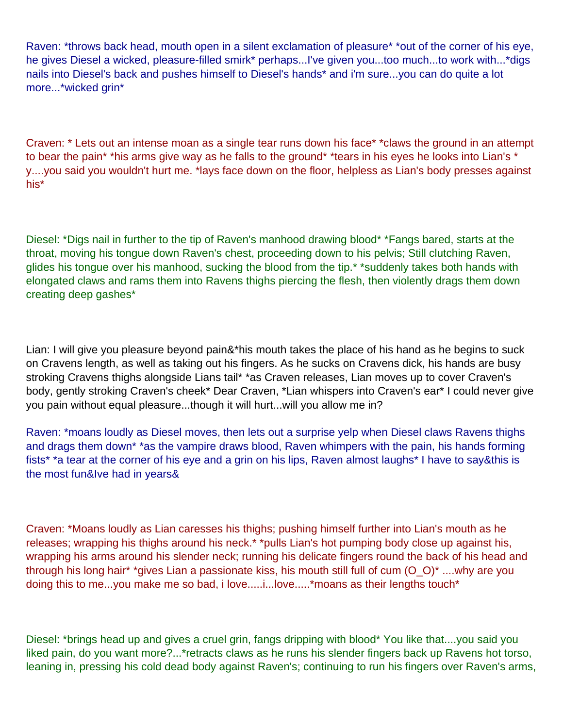Raven: \*throws back head, mouth open in a silent exclamation of pleasure\* \*out of the corner of his eye, he gives Diesel a wicked, pleasure-filled smirk\* perhaps...I've given you...too much...to work with...\*digs nails into Diesel's back and pushes himself to Diesel's hands\* and i'm sure...you can do quite a lot more...\*wicked grin\*

Craven: \* Lets out an intense moan as a single tear runs down his face\* \*claws the ground in an attempt to bear the pain<sup>\*</sup> \*his arms give way as he falls to the ground<sup>\*</sup> \*tears in his eyes he looks into Lian's \* y....you said you wouldn't hurt me. \*lays face down on the floor, helpless as Lian's body presses against his\*

Diesel: \*Digs nail in further to the tip of Raven's manhood drawing blood\* \*Fangs bared, starts at the throat, moving his tongue down Raven's chest, proceeding down to his pelvis; Still clutching Raven, glides his tongue over his manhood, sucking the blood from the tip.<sup>\*</sup> \*suddenly takes both hands with elongated claws and rams them into Ravens thighs piercing the flesh, then violently drags them down creating deep gashes\*

Lian: I will give you pleasure beyond pain&\*his mouth takes the place of his hand as he begins to suck on Craven s length, as well as taking out his fingers. As he sucks on Craven s dick, his hands are busy stroking Craven s thighs alongside Lian s tail\* \*as Craven releases, Lian moves up to cover Craven's body, gently stroking Craven's cheek\* Dear Craven, \*Lian whispers into Craven's ear\* I could never give you pain without equal pleasure...though it will hurt...will you allow me in?

Raven: \*moans loudly as Diesel moves, then lets out a surprise yelp when Diesel claws Raven s thighs and drags them down\* \*as the vampire draws blood, Raven whimpers with the pain, his hands forming fists\* \*a tear at the corner of his eye and a grin on his lips, Raven almost laughs\* I have to say&this is the most fun&I ve had in years&

Craven: \*Moans loudly as Lian caresses his thighs; pushing himself further into Lian's mouth as he releases; wrapping his thighs around his neck.\* \*pulls Lian's hot pumping body close up against his, wrapping his arms around his slender neck; running his delicate fingers round the back of his head and through his long hair\* \*gives Lian a passionate kiss, his mouth still full of cum (O\_O)\* ....why are you doing this to me...you make me so bad, i love.....i...love.....\* moans as their lengths touch\*

Diesel: \*brings head up and gives a cruel grin, fangs dripping with blood\* You like that....you said you liked pain, do you want more?...\*retracts claws as he runs his slender fingers back up Ravens hot torso, leaning in, pressing his cold dead body against Raven's; continuing to run his fingers over Raven's arms,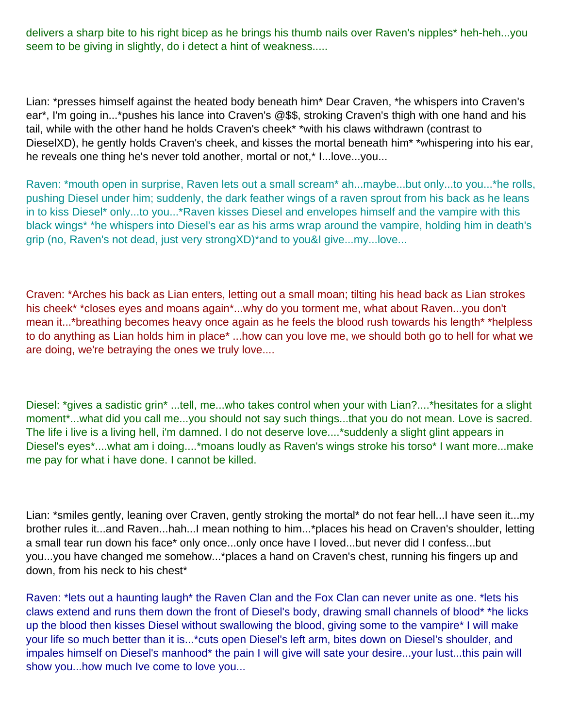delivers a sharp bite to his right bicep as he brings his thumb nails over Raven's nipples\* heh-heh...you seem to be giving in slightly, do i detect a hint of weakness.....

Lian: \*presses himself against the heated body beneath him\* Dear Craven, \*he whispers into Craven's ear\*, I'm going in...\*pushes his lance into Craven's @\$\$, stroking Craven's thigh with one hand and his tail, while with the other hand he holds Craven's cheek\* \*with his claws withdrawn (contrast to DieselXD), he gently holds Craven's cheek, and kisses the mortal beneath him\* \*whispering into his ear, he reveals one thing he's never told another, mortal or not,\* I...love...you...

Raven: \*mouth open in surprise, Raven lets out a small scream\* ah...maybe...but only...to you...\*he rolls, pushing Diesel under him; suddenly, the dark feather wings of a raven sprout from his back as he leans in to kiss Diesel\* only...to you...\*Raven kisses Diesel and envelopes himself and the vampire with this black wings\* \*he whispers into Diesel's ear as his arms wrap around the vampire, holding him in death's grip (no, Raven's not dead, just very strongXD)\*and to you&I give...my...love...

Craven: \*Arches his back as Lian enters, letting out a small moan; tilting his head back as Lian strokes his cheek\* \*closes eyes and moans again\*...why do you torment me, what about Raven...you don't mean it...\*breathing becomes heavy once again as he feels the blood rush towards his length\* \*helpless to do anything as Lian holds him in place\* ...how can you love me, we should both go to hell for what we are doing, we're betraying the ones we truly love....

Diesel: \*gives a sadistic grin\* ...tell, me...who takes control when your with Lian?....\*hesitates for a slight moment\*...what did you call me...you should not say such things...that you do not mean. Love is sacred. The life i live is a living hell, i'm damned. I do not deserve love....\*suddenly a slight glint appears in Diesel's eyes\*....what am i doing....\*moans loudly as Raven's wings stroke his torso\* I want more...make me pay for what i have done. I cannot be killed.

Lian: \*smiles gently, leaning over Craven, gently stroking the mortal\* do not fear hell...I have seen it...my brother rules it...and Raven...hah...I mean nothing to him...\*places his head on Craven's shoulder, letting a small tear run down his face\* only once...only once have I loved...but never did I confess...but you...you have changed me somehow...\*places a hand on Craven's chest, running his fingers up and down, from his neck to his chest\*

Raven: \*lets out a haunting laugh\* the Raven Clan and the Fox Clan can never unite as one. \*lets his claws extend and runs them down the front of Diesel's body, drawing small channels of blood\* \*he licks up the blood then kisses Diesel without swallowing the blood, giving some to the vampire\* I will make your life so much better than it is...\*cuts open Diesel's left arm, bites down on Diesel's shoulder, and impales himself on Diesel's manhood\* the pain I will give will sate your desire...your lust...this pain will show you...how much I ve come to love you...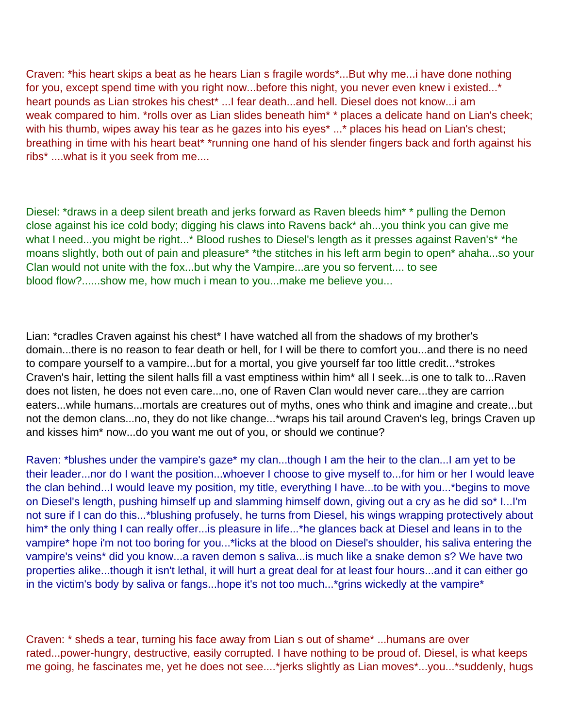Craven: \*his heart skips a beat as he hears Lian s fragile words\*...But why me...i have done nothing for you, except spend time with you right now...before this night, you never even knew i existed...\* heart pounds as Lian strokes his chest\* ...I fear death...and hell. Diesel does not know...i am weak compared to him. \*rolls over as Lian slides beneath him\* \* places a delicate hand on Lian's cheek; with his thumb, wipes away his tear as he gazes into his eyes\* ...\* places his head on Lian's chest; breathing in time with his heart beat\* \*running one hand of his slender fingers back and forth against his ribs\* ....what is it you seek from me....

Diesel: \*draws in a deep silent breath and jerks forward as Raven bleeds him\* \* pulling the Demon close against his ice cold body; digging his claws into Ravens back\* ah...you think you can give me what I need...you might be right...\* Blood rushes to Diesel's length as it presses against Raven's\* \*he moans slightly, both out of pain and pleasure\* \*the stitches in his left arm begin to open\* ahaha...so your Clan would not unite with the fox...but why the Vampire...are you so fervent.... to see blood flow?......show me, how much i mean to you...make me believe you...

Lian: \*cradles Craven against his chest\* I have watched all from the shadows of my brother's domain...there is no reason to fear death or hell, for I will be there to comfort you...and there is no need to compare yourself to a vampire...but for a mortal, you give yourself far too little credit...\*strokes Craven's hair, letting the silent halls fill a vast emptiness within him\* all I seek...is one to talk to...Raven does not listen, he does not even care...no, one of Raven Clan would never care...they are carrion eaters...while humans...mortals are creatures out of myths, ones who think and imagine and create...but not the demon clans...no, they do not like change...\*wraps his tail around Craven's leg, brings Craven up and kisses him\* now...do you want me out of you, or should we continue?

Raven: \*blushes under the vampire's gaze\* my clan...though I am the heir to the clan...I am yet to be their leader...nor do I want the position...whoever I choose to give myself to...for him or her I would leave the clan behind...I would leave my position, my title, everything I have...to be with you...\*begins to move on Diesel's length, pushing himself up and slamming himself down, giving out a cry as he did so\* I...I'm not sure if I can do this...\*blushing profusely, he turns from Diesel, his wings wrapping protectively about him\* the only thing I can really offer...is pleasure in life...\*he glances back at Diesel and leans in to the vampire\* hope i'm not too boring for you...\*licks at the blood on Diesel's shoulder, his saliva entering the vampire's veins\* did you know...a raven demon s saliva...is much like a snake demon s? We have two properties alike...though it isn't lethal, it will hurt a great deal for at least four hours...and it can either go in the victim's body by saliva or fangs...hope it's not too much...\*grins wickedly at the vampire\*

Craven: \* sheds a tear, turning his face away from Lian s out of shame\* ...humans are over rated...power-hungry, destructive, easily corrupted. I have nothing to be proud of. Diesel, is what keeps me going, he fascinates me, yet he does not see....\*jerks slightly as Lian moves\*...you...\*suddenly, hugs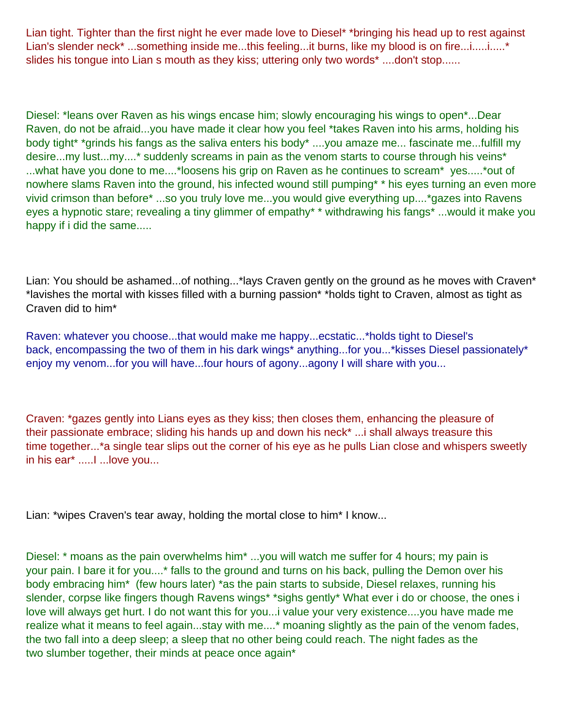Lian tight. Tighter than the first night he ever made love to Diesel\* \*bringing his head up to rest against Lian's slender neck<sup>\*</sup> ...something inside me...this feeling...it burns, like my blood is on fire...i......i.....\* slides his tongue into Lian s mouth as they kiss; uttering only two words\* ....don't stop......

Diesel: \*leans over Raven as his wings encase him; slowly encouraging his wings to open\*...Dear Raven, do not be afraid...you have made it clear how you feel \*takes Raven into his arms, holding his body tight\* \*grinds his fangs as the saliva enters his body\* ....you amaze me... fascinate me...fulfill my desire...my lust...my....\* suddenly screams in pain as the venom starts to course through his veins\* ...what have you done to me....\*loosens his grip on Raven as he continues to scream\* yes.....\*out of nowhere slams Raven into the ground, his infected wound still pumping<sup>\*</sup> \* his eyes turning an even more vivid crimson than before\* ...so you truly love me...you would give everything up....\*gazes into Ravens eyes a hypnotic stare; revealing a tiny glimmer of empathy\* \* withdrawing his fangs\* ...would it make you happy if i did the same.....

Lian: You should be ashamed...of nothing...\*lays Craven gently on the ground as he moves with Craven\* \*lavishes the mortal with kisses filled with a burning passion\* \*holds tight to Craven, almost as tight as Craven did to him\*

Raven: whatever you choose...that would make me happy...ecstatic...\*holds tight to Diesel's back, encompassing the two of them in his dark wings\* anything...for you...\* kisses Diesel passionately\* enjoy my venom...for you will have...four hours of agony...agony I will share with you...

Craven: \*gazes gently into Lians eyes as they kiss; then closes them, enhancing the pleasure of their passionate embrace; sliding his hands up and down his neck\* ...i shall always treasure this time together...\*a single tear slips out the corner of his eye as he pulls Lian close and whispers sweetly in his ear<sup>\*</sup> ......I ...love you...

Lian: \*wipes Craven's tear away, holding the mortal close to him\* I know...

Diesel: \* moans as the pain overwhelms him\* ...you will watch me suffer for 4 hours; my pain is your pain. I bare it for you....\* falls to the ground and turns on his back, pulling the Demon over his body embracing him\* (few hours later) \*as the pain starts to subside, Diesel relaxes, running his slender, corpse like fingers though Ravens wings\* \*sighs gently\* What ever i do or choose, the ones i love will always get hurt. I do not want this for you...i value your very existence....you have made me realize what it means to feel again...stay with me....\* moaning slightly as the pain of the venom fades, the two fall into a deep sleep; a sleep that no other being could reach. The night fades as the two slumber together, their minds at peace once again\*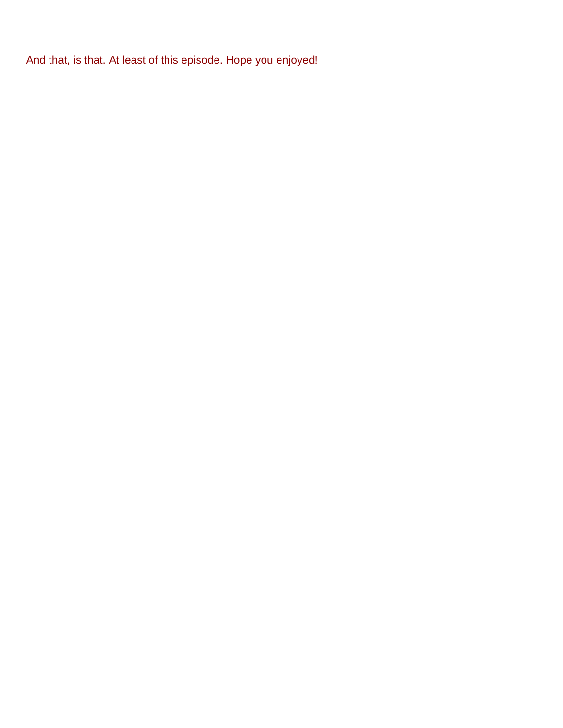And that, is that. At least of this episode. Hope you enjoyed!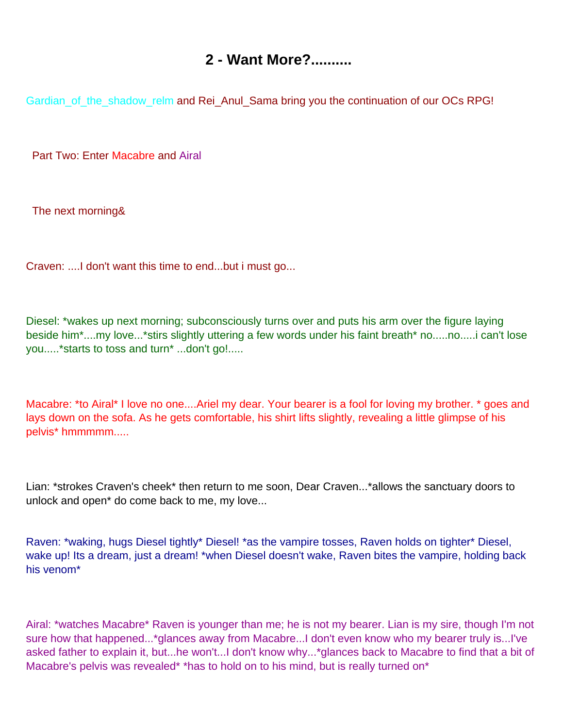## **2 - Want More?..........**

<span id="page-10-0"></span>Gardian\_of\_the\_shadow\_relm and Rei\_Anul\_Sama bring you the continuation of our OC s RPG!

Part Two: Enter Macabre and Airal

The next morning&

Craven: ....I don't want this time to end...but i must go...

Diesel: \*wakes up next morning; subconsciously turns over and puts his arm over the figure laying beside him\*....my love...\*stirs slightly uttering a few words under his faint breath\* no.....no.....i can't lose you.....\*starts to toss and turn\* ...don't go!.....

Macabre: \*to Airal\* I love no one....Ariel my dear. Your bearer is a fool for loving my brother. \* goes and lays down on the sofa. As he gets comfortable, his shirt lifts slightly, revealing a little glimpse of his pelvis\* hmmmmm.....

Lian: \*strokes Craven's cheek\* then return to me soon, Dear Craven...\*allows the sanctuary doors to unlock and open\* do come back to me, my love...

Raven: \*waking, hugs Diesel tightly\* Diesel! \*as the vampire tosses, Raven holds on tighter\* Diesel, wake up! It s a dream, just a dream! \*when Diesel doesn't wake, Raven bites the vampire, holding back his venom\*

Airal: \*watches Macabre\* Raven is younger than me; he is not my bearer. Lian is my sire, though I'm not sure how that happened...\*glances away from Macabre...I don't even know who my bearer truly is...I've asked father to explain it, but...he won't...I don't know why...\*glances back to Macabre to find that a bit of Macabre's pelvis was revealed\* \*has to hold on to his mind, but is really turned on\*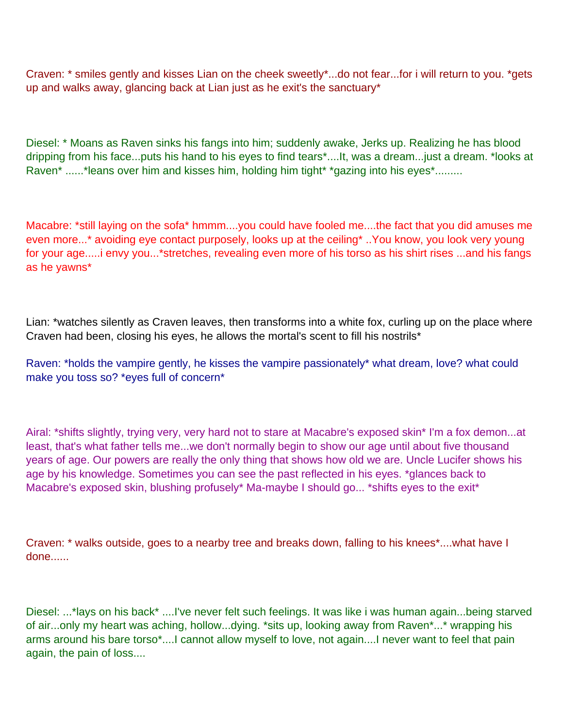Craven: \* smiles gently and kisses Lian on the cheek sweetly\*...do not fear...for i will return to you. \*gets up and walks away, glancing back at Lian just as he exit's the sanctuary\*

Diesel: \* Moans as Raven sinks his fangs into him; suddenly awake, Jerks up. Realizing he has blood dripping from his face...puts his hand to his eyes to find tears\*....It, was a dream...just a dream. \*looks at Raven\* ......\*leans over him and kisses him, holding him tight\* \*gazing into his eyes\*........

Macabre: \*still laying on the sofa\* hmmm....you could have fooled me....the fact that you did amuses me even more...\* avoiding eye contact purposely, looks up at the ceiling\* ..You know, you look very young for your age.....i envy you...\*stretches, revealing even more of his torso as his shirt rises ...and his fangs as he yawns\*

Lian: \*watches silently as Craven leaves, then transforms into a white fox, curling up on the place where Craven had been, closing his eyes, he allows the mortal's scent to fill his nostrils\*

Raven: \*holds the vampire gently, he kisses the vampire passionately\* what dream, love? what could make you toss so? \*eyes full of concern\*

Airal: \*shifts slightly, trying very, very hard not to stare at Macabre's exposed skin\* I'm a fox demon...at least, that's what father tells me...we don't normally begin to show our age until about five thousand years of age. Our powers are really the only thing that shows how old we are. Uncle Lucifer shows his age by his knowledge. Sometimes you can see the past reflected in his eyes. \*glances back to Macabre's exposed skin, blushing profusely\* Ma-maybe I should go... \*shifts eyes to the exit\*

Craven: \* walks outside, goes to a nearby tree and breaks down, falling to his knees\*....what have I done......

Diesel: ...\*lays on his back\* ....I've never felt such feelings. It was like i was human again...being starved of air...only my heart was aching, hollow...dying. \*sits up, looking away from Raven\*...\* wrapping his arms around his bare torso\*....I cannot allow myself to love, not again....I never want to feel that pain again, the pain of loss....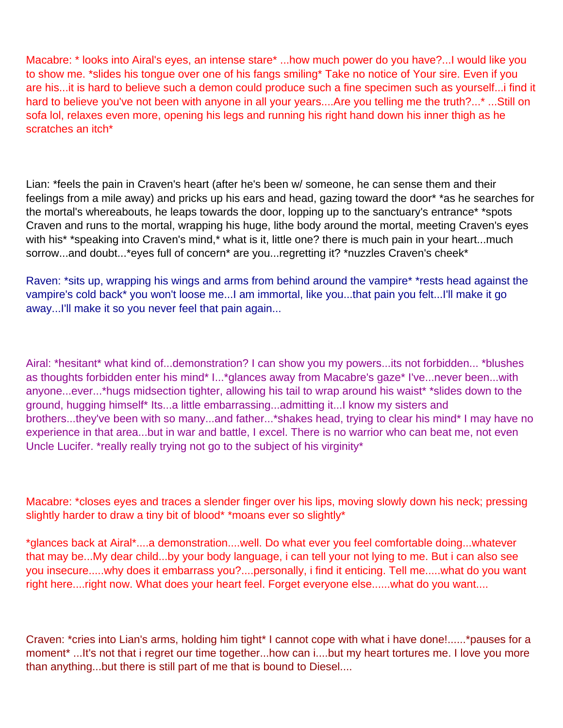Macabre: \* looks into Airal's eyes, an intense stare\* ...how much power do you have?...I would like you to show me. \*slides his tongue over one of his fangs smiling\* Take no notice of Your sire. Even if you are his...it is hard to believe such a demon could produce such a fine specimen such as yourself...i find it hard to believe you've not been with anyone in all your years....Are you telling me the truth?...\* ...Still on sofa lol, relaxes even more, opening his legs and running his right hand down his inner thigh as he scratches an itch<sup>\*</sup>

Lian: \*feels the pain in Craven's heart (after he's been w/ someone, he can sense them and their feelings from a mile away) and pricks up his ears and head, gazing toward the door\* \*as he searches for the mortal's whereabouts, he leaps towards the door, lopping up to the sanctuary's entrance\* \*spots Craven and runs to the mortal, wrapping his huge, lithe body around the mortal, meeting Craven's eyes with his\* \*speaking into Craven's mind,\* what is it, little one? there is much pain in your heart...much sorrow...and doubt...\*eyes full of concern\* are you...regretting it? \*nuzzles Craven's cheek\*

Raven: \*sits up, wrapping his wings and arms from behind around the vampire\* \*rests head against the vampire's cold back\* you won't loose me...I am immortal, like you...that pain you felt...I'll make it go away...I'll make it so you never feel that pain again...

Airal: \*hesitant\* what kind of...demonstration? I can show you my powers...its not forbidden... \*blushes as thoughts forbidden enter his mind\* I...\*glances away from Macabre's gaze\* I've...never been...with anyone...ever...\*hugs midsection tighter, allowing his tail to wrap around his waist\* \*slides down to the ground, hugging himself\* It s...a little embarrassing...admitting it...I know my sisters and brothers...they've been with so many...and father...\*shakes head, trying to clear his mind\* I may have no experience in that area...but in war and battle, I excel. There is no warrior who can beat me, not even Uncle Lucifer. \*really really trying not go to the subject of his virginity\*

Macabre: \*closes eyes and traces a slender finger over his lips, moving slowly down his neck; pressing slightly harder to draw a tiny bit of blood\* \*moans ever so slightly\*

\*glances back at Airal\*....a demonstration....well. Do what ever you feel comfortable doing...whatever that may be...My dear child...by your body language, i can tell your not lying to me. But i can also see you insecure.....why does it embarrass you?....personally, i find it enticing. Tell me.....what do you want right here....right now. What does your heart feel. Forget everyone else......what do you want....

Craven: \*cries into Lian's arms, holding him tight\* I cannot cope with what i have done!......\*pauses for a moment\* ...It's not that i regret our time together...how can i....but my heart tortures me. I love you more than anything...but there is still part of me that is bound to Diesel....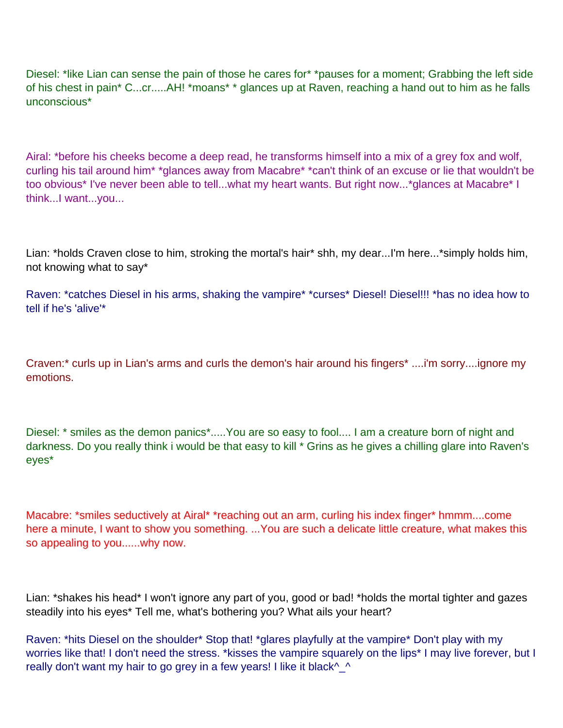Diesel: \*like Lian can sense the pain of those he cares for\* \*pauses for a moment; Grabbing the left side of his chest in pain\* C...cr.....AH! \*moans\* \* glances up at Raven, reaching a hand out to him as he falls unconscious\*

Airal: \*before his cheeks become a deep read, he transforms himself into a mix of a grey fox and wolf, curling his tail around him\* \*glances away from Macabre\* \*can't think of an excuse or lie that wouldn't be too obvious\* I've never been able to tell...what my heart wants. But right now...\*glances at Macabre\* I think...I want...you...

Lian: \*holds Craven close to him, stroking the mortal's hair\* shh, my dear...I'm here...\*simply holds him, not knowing what to say\*

Raven: \*catches Diesel in his arms, shaking the vampire\* \*curses\* Diesel! Diesel!!! \*has no idea how to tell if he's 'alive'\*

Craven:\* curls up in Lian's arms and curls the demon's hair around his fingers\* ....i'm sorry....ignore my emotions.

Diesel: \* smiles as the demon panics\*.....You are so easy to fool.... I am a creature born of night and darkness. Do you really think i would be that easy to kill \* Grins as he gives a chilling glare into Raven's eyes\*

Macabre: \*smiles seductively at Airal\* \*reaching out an arm, curling his index finger\* hmmm....come here a minute, I want to show you something. ...You are such a delicate little creature, what makes this so appealing to you......why now.

Lian: \*shakes his head\* I won't ignore any part of you, good or bad! \*holds the mortal tighter and gazes steadily into his eyes\* Tell me, what's bothering you? What ails your heart?

Raven: \*hits Diesel on the shoulder\* Stop that! \*glares playfully at the vampire\* Don't play with my worries like that! I don't need the stress. \*kisses the vampire squarely on the lips\* I may live forever, but I really don't want my hair to go grey in a few years! I like it black^\_^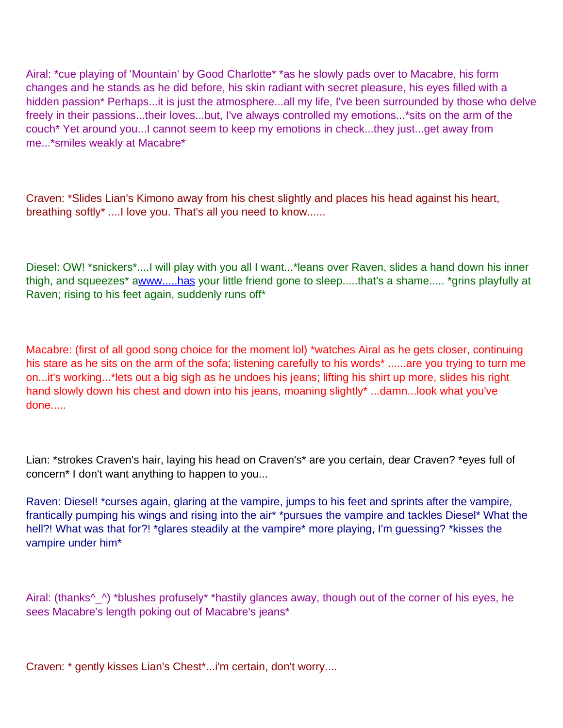Airal: \*cue playing of 'Mountain' by Good Charlotte\* \*as he slowly pads over to Macabre, his form changes and he stands as he did before, his skin radiant with secret pleasure, his eyes filled with a hidden passion\* Perhaps...it is just the atmosphere...all my life, I've been surrounded by those who delve freely in their passions...their loves...but, I've always controlled my emotions...\*sits on the arm of the couch\* Yet around you...I cannot seem to keep my emotions in check...they just...get away from me...\*smiles weakly at Macabre\*

Craven: \*Slides Lian's Kimono away from his chest slightly and places his head against his heart, breathing softly\* ....I love you. That's all you need to know......

Diesel: OW! \*snickers\*....I will play with you all I want...\*leans over Raven, slides a hand down his inner thigh, and squeezes\* [awww.....has](http://www.....has/) your little friend gone to sleep.....that's a shame..... \*grins playfully at Raven; rising to his feet again, suddenly runs off\*

Macabre: (first of all good song choice for the moment lol) \*watches Airal as he gets closer, continuing his stare as he sits on the arm of the sofa; listening carefully to his words\* ......are you trying to turn me on...it's working...\*lets out a big sigh as he undoes his jeans; lifting his shirt up more, slides his right hand slowly down his chest and down into his jeans, moaning slightly\* ...damn...look what you've done.....

Lian: \*strokes Craven's hair, laying his head on Craven's\* are you certain, dear Craven? \*eyes full of concern\* I don't want anything to happen to you...

Raven: Diesel! \*curses again, glaring at the vampire, jumps to his feet and sprints after the vampire, frantically pumping his wings and rising into the air\* \*pursues the vampire and tackles Diesel\* What the hell?! What was that for?! \*glares steadily at the vampire\* more playing, I'm guessing? \*kisses the vampire under him\*

Airal: (thanks^\_^) \*blushes profusely\* \*hastily glances away, though out of the corner of his eyes, he sees Macabre's length poking out of Macabre's jeans\*

Craven: \* gently kisses Lian's Chest\*...i'm certain, don't worry....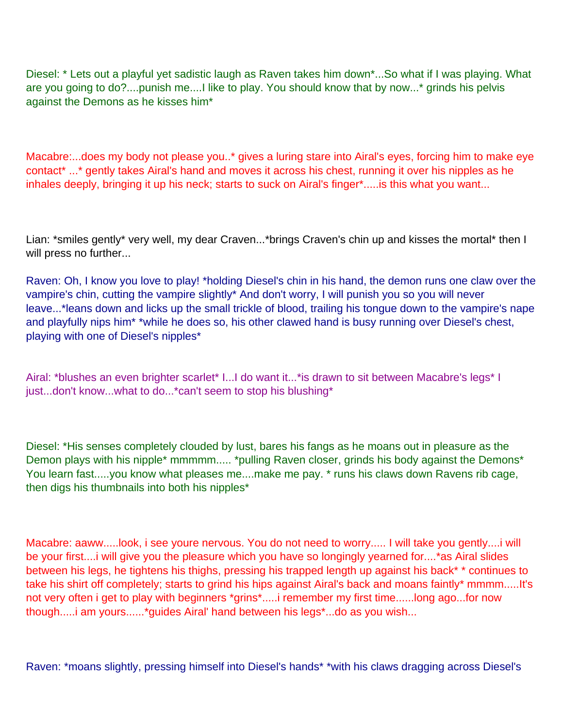Diesel: \* Lets out a playful yet sadistic laugh as Raven takes him down\*...So what if I was playing. What are you going to do?....punish me....I like to play. You should know that by now...\* grinds his pelvis against the Demons as he kisses him\*

Macabre:...does my body not please you..\* gives a luring stare into Airal's eyes, forcing him to make eye contact\* ...\* gently takes Airal's hand and moves it across his chest, running it over his nipples as he inhales deeply, bringing it up his neck; starts to suck on Airal's finger\*.....is this what you want...

Lian: \*smiles gently\* very well, my dear Craven...\*brings Craven's chin up and kisses the mortal\* then I will press no further...

Raven: Oh, I know you love to play! \*holding Diesel's chin in his hand, the demon runs one claw over the vampire's chin, cutting the vampire slightly\* And don't worry, I will punish you so you will never leave...\*leans down and licks up the small trickle of blood, trailing his tongue down to the vampire's nape and playfully nips him\* \*while he does so, his other clawed hand is busy running over Diesel's chest, playing with one of Diesel's nipples\*

Airal: \*blushes an even brighter scarlet\* I...I do want it...\*is drawn to sit between Macabre's legs\* I just...don't know...what to do...\*can't seem to stop his blushing\*

Diesel: \*His senses completely clouded by lust, bares his fangs as he moans out in pleasure as the Demon plays with his nipple\* mmmmm..... \*pulling Raven closer, grinds his body against the Demons\* You learn fast.....you know what pleases me....make me pay. \* runs his claws down Ravens rib cage, then digs his thumbnails into both his nipples\*

Macabre: aaww.....look, i see you re nervous. You do not need to worry..... I will take you gently....i will be your first....i will give you the pleasure which you have so longingly yearned for....\*as Airal slides between his legs, he tightens his thighs, pressing his trapped length up against his back\* \* continues to take his shirt off completely; starts to grind his hips against Airal's back and moans faintly\* mmmm.....It's not very often i get to play with beginners \*grins\*.....i remember my first time......long ago...for now though.....i am yours......\*guides Airal' hand between his legs\*...do as you wish...

Raven: \*moans slightly, pressing himself into Diesel's hands\* \*with his claws dragging across Diesel's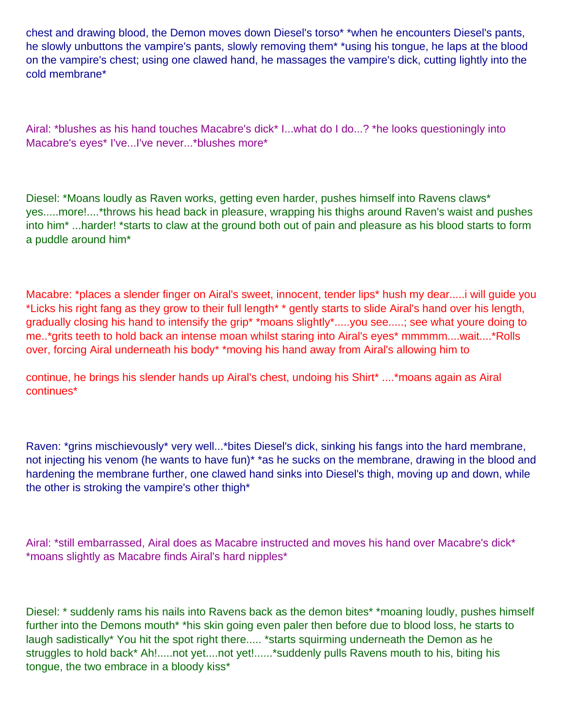chest and drawing blood, the Demon moves down Diesel's torso\* \*when he encounters Diesel's pants, he slowly unbuttons the vampire's pants, slowly removing them\* \*using his tongue, he laps at the blood on the vampire's chest; using one clawed hand, he massages the vampire's dick, cutting lightly into the cold membrane\*

Airal: \*blushes as his hand touches Macabre's dick\* I...what do I do...? \*he looks questioningly into Macabre's eyes\* I've...I've never...\*blushes more\*

Diesel: \*Moans loudly as Raven works, getting even harder, pushes himself into Ravens claws\* yes.....more!....\*throws his head back in pleasure, wrapping his thighs around Raven's waist and pushes into him\* ...harder! \*starts to claw at the ground both out of pain and pleasure as his blood starts to form a puddle around him\*

Macabre: \*places a slender finger on Airal's sweet, innocent, tender lips\* hush my dear.....i will guide you \*Licks his right fang as they grow to their full length\* \* gently starts to slide Airal's hand over his length, gradually closing his hand to intensify the grip\* \*moans slightly\*.....you see.....; see what youre doing to me..\*grits teeth to hold back an intense moan whilst staring into Airal's eyes\* mmmmm....wait....\*Rolls over, forcing Airal underneath his body\* \*moving his hand away from Airal's allowing him to

continue, he brings his slender hands up Airal's chest, undoing his Shirt\* ....\*moans again as Airal continues\*

Raven: \*grins mischievously\* very well...\*bites Diesel's dick, sinking his fangs into the hard membrane, not injecting his venom (he wants to have fun)<sup>\*</sup> \*as he sucks on the membrane, drawing in the blood and hardening the membrane further, one clawed hand sinks into Diesel's thigh, moving up and down, while the other is stroking the vampire's other thigh\*

Airal: \*still embarrassed, Airal does as Macabre instructed and moves his hand over Macabre's dick\* \*moans slightly as Macabre finds Airal's hard nipples\*

Diesel: \* suddenly rams his nails into Ravens back as the demon bites\* \*moaning loudly, pushes himself further into the Demons mouth<sup>\*</sup> \*his skin going even paler then before due to blood loss, he starts to laugh sadistically\* You hit the spot right there..... \*starts squirming underneath the Demon as he struggles to hold back\* Ah!.....not yet....not yet!......\*suddenly pulls Ravens mouth to his, biting his tongue, the two embrace in a bloody kiss\*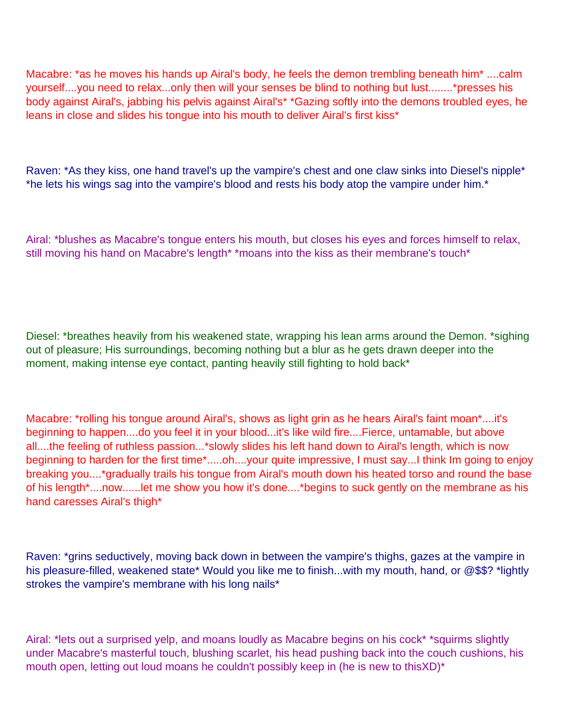Macabre: \*as he moves his hands up Airal's body, he feels the demon trembling beneath him\* ....calm yourself....you need to relax...only then will your senses be blind to nothing but lust........\*presses his body against Airal's, jabbing his pelvis against Airal's\* \*Gazing softly into the demons troubled eyes, he leans in close and slides his tongue into his mouth to deliver Airal's first kiss\*

Raven: \*As they kiss, one hand travel's up the vampire's chest and one claw sinks into Diesel's nipple\* \*he lets his wings sag into the vampire's blood and rests his body atop the vampire under him.\*

Airal: \*blushes as Macabre's tongue enters his mouth, but closes his eyes and forces himself to relax, still moving his hand on Macabre's length\* \*moans into the kiss as their membrane's touch\*

Diesel: \*breathes heavily from his weakened state, wrapping his lean arms around the Demon. \*sighing out of pleasure; His surroundings, becoming nothing but a blur as he gets drawn deeper into the moment, making intense eye contact, panting heavily still fighting to hold back\*

Macabre: \*rolling his tongue around Airal's, shows as light grin as he hears Airal's faint moan\*....it's beginning to happen....do you feel it in your blood...it's like wild fire....Fierce, untamable, but above all....the feeling of ruthless passion...\*slowly slides his left hand down to Airal's length, which is now beginning to harden for the first time\*.....oh....your quite impressive, I must say...I think I m going to enjoy breaking you....\*gradually trails his tongue from Airal's mouth down his heated torso and round the base of his length\*....now......let me show you how it's done....\*begins to suck gently on the membrane as his hand caresses Airal's thigh\*

Raven: \*grins seductively, moving back down in between the vampire's thighs, gazes at the vampire in his pleasure-filled, weakened state\* Would you like me to finish...with my mouth, hand, or @\$\$? \*lightly strokes the vampire's membrane with his long nails\*

Airal: \*lets out a surprised yelp, and moans loudly as Macabre begins on his cock\* \*squirms slightly under Macabre's masterful touch, blushing scarlet, his head pushing back into the couch cushions, his mouth open, letting out loud moans he couldn't possibly keep in (he is new to thisXD)\*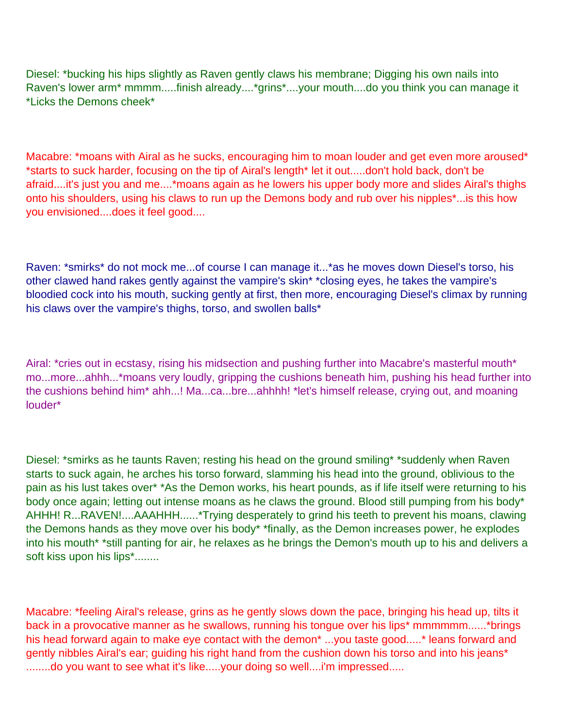Diesel: \*bucking his hips slightly as Raven gently claws his membrane; Digging his own nails into Raven's lower arm\* mmmm.....finish already....\*grins\*....your mouth....do you think you can manage it \*Licks the Demons cheek\*

Macabre: \*moans with Airal as he sucks, encouraging him to moan louder and get even more aroused\* \*starts to suck harder, focusing on the tip of Airal's length\* let it out.....don't hold back, don't be afraid....it's just you and me....\*moans again as he lowers his upper body more and slides Airal's thighs onto his shoulders, using his claws to run up the Demons body and rub over his nipples\*...is this how you envisioned....does it feel good....

Raven: \*smirks\* do not mock me...of course I can manage it...\*as he moves down Diesel's torso, his other clawed hand rakes gently against the vampire's skin\* \*closing eyes, he takes the vampire's bloodied cock into his mouth, sucking gently at first, then more, encouraging Diesel's climax by running his claws over the vampire's thighs, torso, and swollen balls\*

Airal: \*cries out in ecstasy, rising his midsection and pushing further into Macabre's masterful mouth\* mo...more...ahhh...\*moans very loudly, gripping the cushions beneath him, pushing his head further into the cushions behind him\* ahh...! Ma...ca...bre...ahhhh! \*let's himself release, crying out, and moaning louder\*

Diesel: \*smirks as he taunts Raven; resting his head on the ground smiling\* \*suddenly when Raven starts to suck again, he arches his torso forward, slamming his head into the ground, oblivious to the pain as his lust takes over\* \*As the Demon works, his heart pounds, as if life itself were returning to his body once again; letting out intense moans as he claws the ground. Blood still pumping from his body\* AHHH! R...RAVEN!....AAAHHH......\*Trying desperately to grind his teeth to prevent his moans, clawing the Demons hands as they move over his body\* \*finally, as the Demon increases power, he explodes into his mouth\* \*still panting for air, he relaxes as he brings the Demon's mouth up to his and delivers a soft kiss upon his lips\*........

Macabre: \*feeling Airal's release, grins as he gently slows down the pace, bringing his head up, tilts it back in a provocative manner as he swallows, running his tongue over his lips\* mmmmmm......\*brings his head forward again to make eye contact with the demon\* ...you taste good.....\* leans forward and gently nibbles Airal's ear; guiding his right hand from the cushion down his torso and into his jeans\* .........do you want to see what it's like.....your doing so well....i'm impressed.....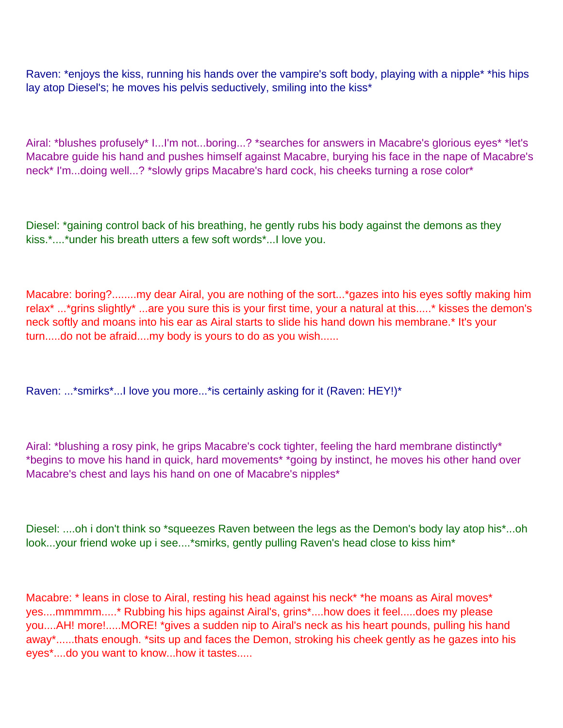Raven: \*enjoys the kiss, running his hands over the vampire's soft body, playing with a nipple\* \*his hips lay atop Diesel's; he moves his pelvis seductively, smiling into the kiss<sup>\*</sup>

Airal: \*blushes profusely\* I...I'm not...boring...? \*searches for answers in Macabre's glorious eyes\* \*let's Macabre guide his hand and pushes himself against Macabre, burying his face in the nape of Macabre's neck\* I'm...doing well...? \*slowly grips Macabre's hard cock, his cheeks turning a rose color\*

Diesel: \*gaining control back of his breathing, he gently rubs his body against the demons as they kiss.\*....\*under his breath utters a few soft words\*...I love you.

Macabre: boring?........my dear Airal, you are nothing of the sort...\*gazes into his eyes softly making him relax\* ...\*grins slightly\* ...are you sure this is your first time, your a natural at this.....\* kisses the demon's neck softly and moans into his ear as Airal starts to slide his hand down his membrane.\* It's your turn.....do not be afraid....my body is yours to do as you wish......

Raven: ...\*smirks\*...I love you more...\*is certainly asking for it (Raven: HEY!)\*

Airal: \*blushing a rosy pink, he grips Macabre's cock tighter, feeling the hard membrane distinctly\* \*begins to move his hand in quick, hard movements\* \*going by instinct, he moves his other hand over Macabre's chest and lays his hand on one of Macabre's nipples\*

Diesel: ....oh i don't think so \*squeezes Raven between the legs as the Demon's body lay atop his\*...oh look...your friend woke up i see....\*smirks, gently pulling Raven's head close to kiss him\*

Macabre: \* leans in close to Airal, resting his head against his neck\* \*he moans as Airal moves\* yes....mmmmm.....\* Rubbing his hips against Airal's, grins\*....how does it feel.....does my please you....AH! more!.....MORE! \*gives a sudden nip to Airal's neck as his heart pounds, pulling his hand away\*......that s enough. \*sits up and faces the Demon, stroking his cheek gently as he gazes into his eyes\*....do you want to know...how it tastes.....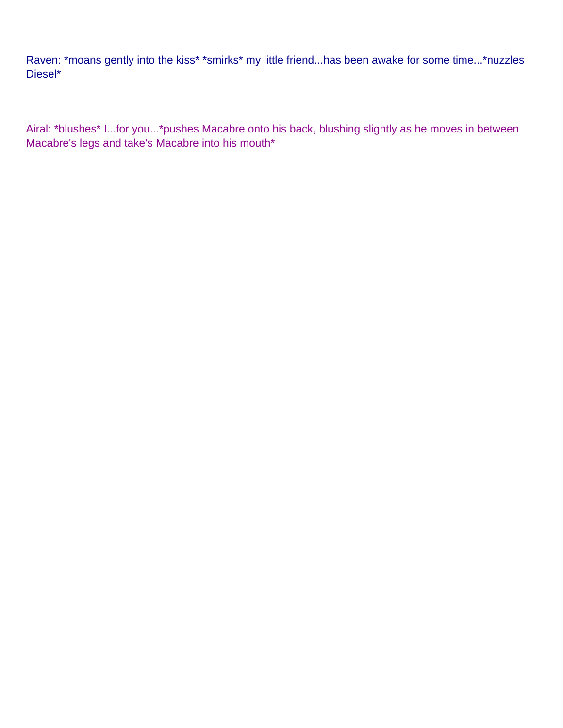Raven: \*moans gently into the kiss\* \*smirks\* my little friend...has been awake for some time...\*nuzzles Diesel\*

Airal: \*blushes\* I...for you...\*pushes Macabre onto his back, blushing slightly as he moves in between Macabre's legs and take's Macabre into his mouth\*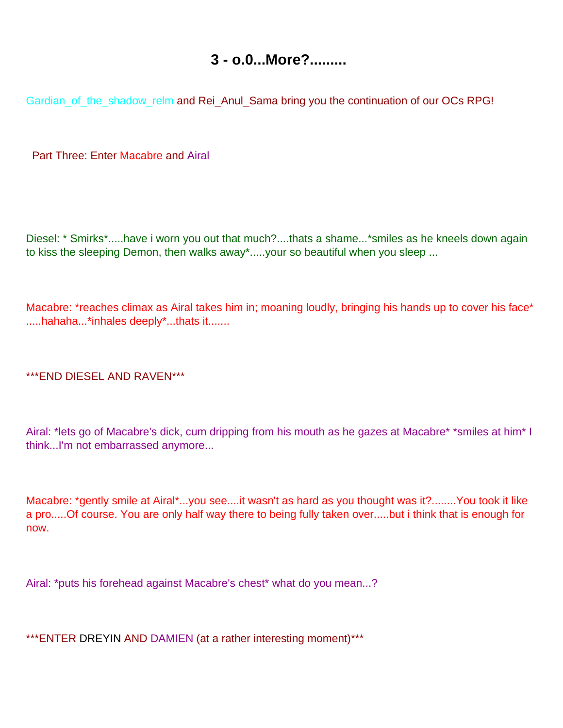### **3 - o.0...More?.........**

<span id="page-21-0"></span>Gardian\_of\_the\_shadow\_relm and Rei\_Anul\_Sama bring you the continuation of our OC s RPG!

Part Three: Enter Macabre and Airal

Diesel: \* Smirks\*.....have i worn you out that much?....that s a shame...\*smiles as he kneels down again to kiss the sleeping Demon, then walks away\*.....your so beautiful when you sleep ...

Macabre: \*reaches climax as Airal takes him in; moaning loudly, bringing his hands up to cover his face\* .....hahaha...\*inhales deeply\*...that s it.......

\*\*\*END DIESEL AND RAVEN\*\*\*

Airal: \*lets go of Macabre's dick, cum dripping from his mouth as he gazes at Macabre\* \*smiles at him\* I think...I'm not embarrassed anymore...

Macabre: \*gently smile at Airal\*...you see....it wasn't as hard as you thought was it?........You took it like a pro.....Of course. You are only half way there to being fully taken over.....but i think that is enough for now.

Airal: \*puts his forehead against Macabre's chest\* what do you mean...?

\*\*\*ENTER DREYIN AND DAMIEN (at a rather interesting moment)\*\*\*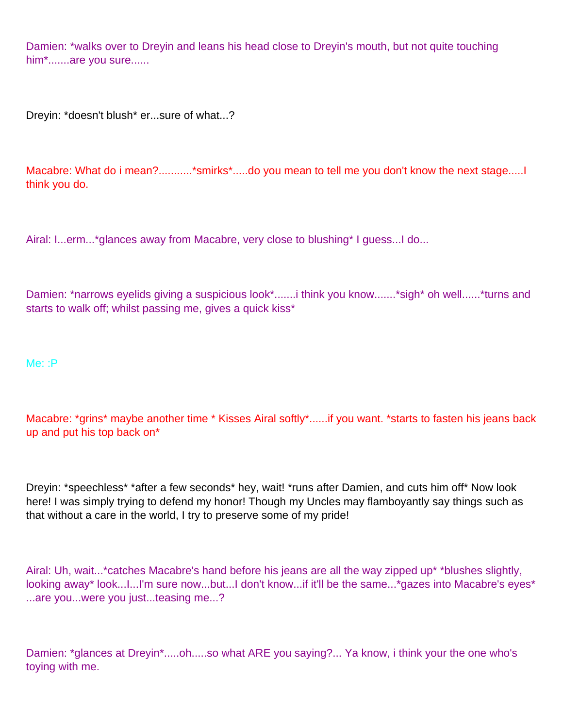Damien: \*walks over to Dreyin and leans his head close to Dreyin's mouth, but not quite touching him\*.......are you sure......

Dreyin: \*doesn't blush\* er...sure of what...?

Macabre: What do i mean?...........\*smirks\*.....do you mean to tell me you don't know the next stage...... think you do.

Airal: I...erm...\*glances away from Macabre, very close to blushing\* I guess...I do...

Damien: \*narrows eyelids giving a suspicious look\*.......i think you know.......\*sigh\* oh well......\*turns and starts to walk off; whilst passing me, gives a quick kiss\*

Me: :P

Macabre: \*grins\* maybe another time \* Kisses Airal softly\*......if you want. \*starts to fasten his jeans back up and put his top back on\*

Dreyin: \*speechless\* \*after a few seconds\* hey, wait! \*runs after Damien, and cuts him off\* Now look here! I was simply trying to defend my honor! Though my Uncles may flamboyantly say things such as that without a care in the world, I try to preserve some of my pride!

Airal: Uh, wait...\*catches Macabre's hand before his jeans are all the way zipped up\* \*blushes slightly, looking away\* look...I...I'm sure now...but...I don't know...if it'll be the same...\*gazes into Macabre's eyes\* ...are you...were you just...teasing me...?

Damien: \*glances at Dreyin\*.....oh.....so what ARE you saying?... Ya know, i think your the one who's toying with me.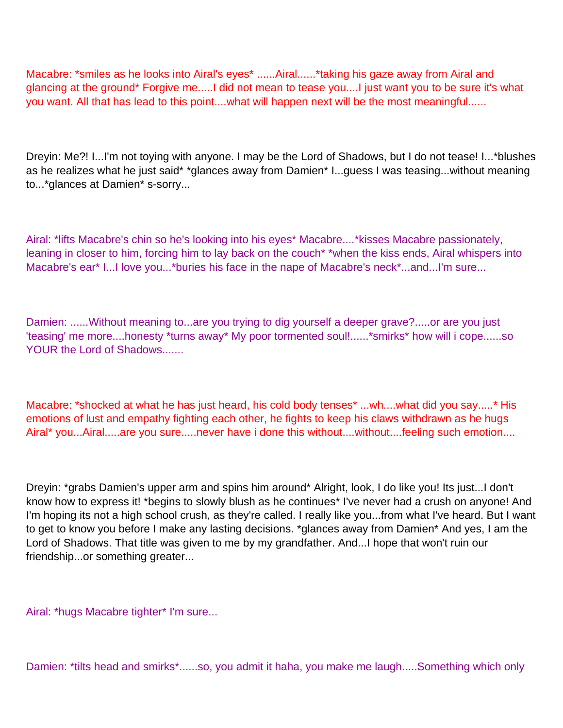Macabre: \*smiles as he looks into Airal's eyes\* ......Airal......\*taking his gaze away from Airal and glancing at the ground\* Forgive me.....I did not mean to tease you....I just want you to be sure it's what you want. All that has lead to this point....what will happen next will be the most meaningful......

Dreyin: Me?! I...I'm not toying with anyone. I may be the Lord of Shadows, but I do not tease! I...\*blushes as he realizes what he just said\* \*glances away from Damien\* I...guess I was teasing...without meaning to...\*glances at Damien\* s-sorry...

Airal: \*lifts Macabre's chin so he's looking into his eyes\* Macabre....\*kisses Macabre passionately, leaning in closer to him, forcing him to lay back on the couch\* \*when the kiss ends, Airal whispers into Macabre's ear\* I...I love you...\*buries his face in the nape of Macabre's neck\*...and...I'm sure...

Damien: ......Without meaning to...are you trying to dig yourself a deeper grave?.....or are you just 'teasing' me more....honesty \*turns away\* My poor tormented soul!......\*smirks\* how will i cope......so YOUR the Lord of Shadows.......

Macabre: \*shocked at what he has just heard, his cold body tenses\* ...wh....what did you say.....\* His emotions of lust and empathy fighting each other, he fights to keep his claws withdrawn as he hugs Airal\* you...Airal.....are you sure.....never have i done this without....without....feeling such emotion....

Dreyin: \*grabs Damien's upper arm and spins him around\* Alright, look, I do like you! Its just...I don't know how to express it! \*begins to slowly blush as he continues\* I've never had a crush on anyone! And I'm hoping its not a high school crush, as they're called. I really like you...from what I've heard. But I want to get to know you before I make any lasting decisions. \*glances away from Damien\* And yes, I am the Lord of Shadows. That title was given to me by my grandfather. And...I hope that won't ruin our friendship...or something greater...

Airal: \*hugs Macabre tighter\* I'm sure...

Damien: \*tilts head and smirks\*......so, you admit it haha, you make me laugh.....Something which only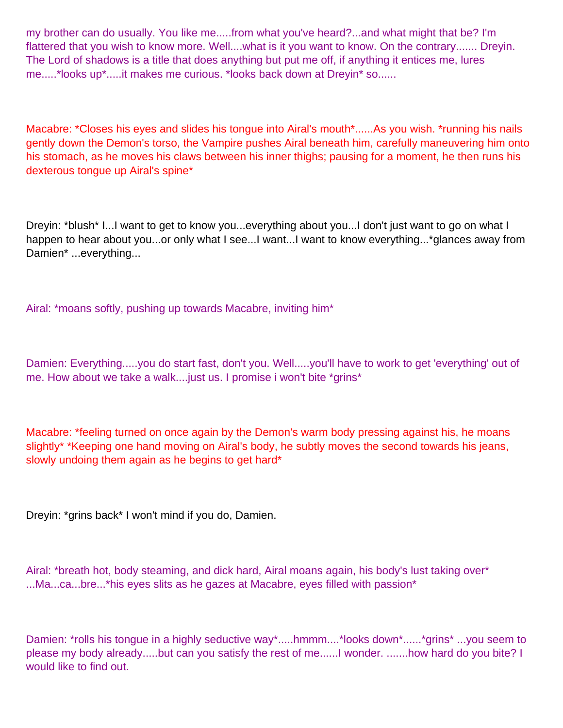my brother can do usually. You like me.....from what you've heard?...and what might that be? I'm flattered that you wish to know more. Well....what is it you want to know. On the contrary....... Dreyin. The Lord of shadows is a title that does anything but put me off, if anything it entices me, lures me.....\*looks up\*.....it makes me curious. \*looks back down at Dreyin\* so......

Macabre: \*Closes his eyes and slides his tongue into Airal's mouth\*......As you wish. \*running his nails gently down the Demon's torso, the Vampire pushes Airal beneath him, carefully maneuvering him onto his stomach, as he moves his claws between his inner thighs; pausing for a moment, he then runs his dexterous tongue up Airal's spine\*

Dreyin: \*blush\* I...I want to get to know you...everything about you...I don't just want to go on what I happen to hear about you...or only what I see...I want...I want to know everything...\*glances away from Damien\* ...everything...

Airal: \*moans softly, pushing up towards Macabre, inviting him\*

Damien: Everything.....you do start fast, don't you. Well.....you'll have to work to get 'everything' out of me. How about we take a walk....just us. I promise i won't bite \*grins\*

Macabre: \*feeling turned on once again by the Demon's warm body pressing against his, he moans slightly\* \*Keeping one hand moving on Airal's body, he subtly moves the second towards his jeans, slowly undoing them again as he begins to get hard\*

Dreyin: \*grins back\* I won't mind if you do, Damien.

Airal: \*breath hot, body steaming, and dick hard, Airal moans again, his body's lust taking over\* ...Ma...ca...bre...\*his eyes slits as he gazes at Macabre, eyes filled with passion\*

Damien: \*rolls his tongue in a highly seductive way\*.....hmmm....\*looks down\*......\*grins\* ...you seem to please my body already.....but can you satisfy the rest of me......I wonder. .......how hard do you bite? I would like to find out.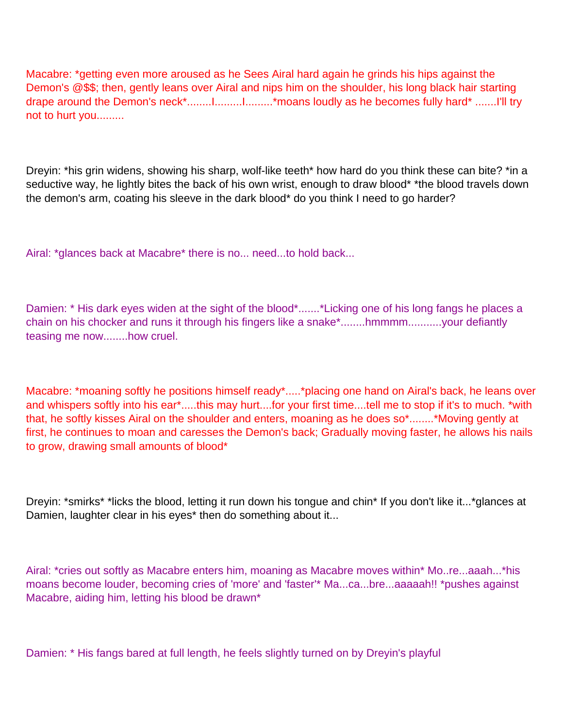Macabre: \*getting even more aroused as he Sees Airal hard again he grinds his hips against the Demon's @\$\$; then, gently leans over Airal and nips him on the shoulder, his long black hair starting drape around the Demon's neck\*........I.........I...........\*moans loudly as he becomes fully hard\* .......I'll try not to hurt you.........

Dreyin: \*his grin widens, showing his sharp, wolf-like teeth\* how hard do you think these can bite? \*in a seductive way, he lightly bites the back of his own wrist, enough to draw blood\* \*the blood travels down the demon's arm, coating his sleeve in the dark blood\* do you think I need to go harder?

Airal: \*glances back at Macabre\* there is no... need...to hold back...

Damien: \* His dark eyes widen at the sight of the blood\*.......\*Licking one of his long fangs he places a chain on his chocker and runs it through his fingers like a snake\*........hmmmm...........your defiantly teasing me now........how cruel.

Macabre: \*moaning softly he positions himself ready\*.....\*placing one hand on Airal's back, he leans over and whispers softly into his ear\*.....this may hurt....for your first time....tell me to stop if it's to much. \*with that, he softly kisses Airal on the shoulder and enters, moaning as he does so\*........\*Moving gently at first, he continues to moan and caresses the Demon's back; Gradually moving faster, he allows his nails to grow, drawing small amounts of blood\*

Dreyin: \*smirks\* \*licks the blood, letting it run down his tongue and chin\* If you don't like it...\*glances at Damien, laughter clear in his eyes\* then do something about it...

Airal: \*cries out softly as Macabre enters him, moaning as Macabre moves within\* Mo..re...aaah...\*his moans become louder, becoming cries of 'more' and 'faster'\* Ma...ca...bre...aaaaah!! \*pushes against Macabre, aiding him, letting his blood be drawn\*

Damien: \* His fangs bared at full length, he feels slightly turned on by Dreyin's playful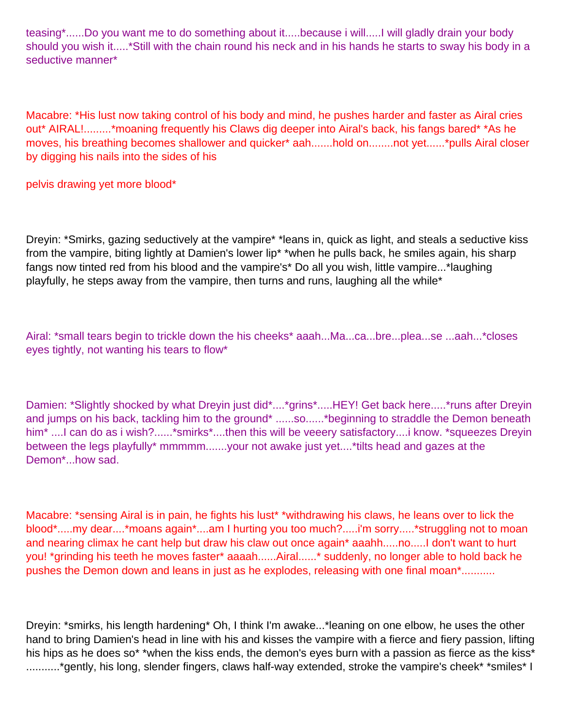teasing\*......Do you want me to do something about it.....because i will.....I will gladly drain your body should you wish it.....\*Still with the chain round his neck and in his hands he starts to sway his body in a seductive manner\*

Macabre: \*His lust now taking control of his body and mind, he pushes harder and faster as Airal cries out\* AIRAL!.........\*moaning frequently his Claws dig deeper into Airal's back, his fangs bared\* \*As he moves, his breathing becomes shallower and quicker\* aah.......hold on........not yet......\*pulls Airal closer by digging his nails into the sides of his

pelvis drawing yet more blood\*

Dreyin: \*Smirks, gazing seductively at the vampire\* \*leans in, quick as light, and steals a seductive kiss from the vampire, biting lightly at Damien's lower lip\* \*when he pulls back, he smiles again, his sharp fangs now tinted red from his blood and the vampire's\* Do all you wish, little vampire...\*laughing playfully, he steps away from the vampire, then turns and runs, laughing all the while\*

Airal: \*small tears begin to trickle down the his cheeks\* aaah...Ma...ca...bre...plea...se ...aah...\*closes eyes tightly, not wanting his tears to flow\*

Damien: \*Slightly shocked by what Dreyin just did\*....\*grins\*.....HEY! Get back here.....\*runs after Dreyin and jumps on his back, tackling him to the ground\* ......so......\*beginning to straddle the Demon beneath him<sup>\*</sup> ....I can do as i wish?......<sup>\*</sup>smirks<sup>\*</sup>....then this will be veeery satisfactory....i know. \*squeezes Dreyin between the legs playfully\* mmmmm.......your not awake just yet....\*tilts head and gazes at the Demon\*...how sad.

Macabre: \*sensing Airal is in pain, he fights his lust\* \*withdrawing his claws, he leans over to lick the blood\*.....my dear....\*moans again\*....am I hurting you too much?.....i'm sorry.....\*struggling not to moan and nearing climax he can t help but draw his claw out once again\* aaahh.....no.....I don't want to hurt you! \*grinding his teeth he moves faster\* aaaah......Airal......\* suddenly, no longer able to hold back he pushes the Demon down and leans in just as he explodes, releasing with one final moan\*...........

Dreyin: \*smirks, his length hardening\* Oh, I think I'm awake...\*leaning on one elbow, he uses the other hand to bring Damien's head in line with his and kisses the vampire with a fierce and fiery passion, lifting his hips as he does so<sup>\*</sup> \*when the kiss ends, the demon's eyes burn with a passion as fierce as the kiss<sup>\*</sup> ...........\*gently, his long, slender fingers, claws half-way extended, stroke the vampire's cheek\* \*smiles\* I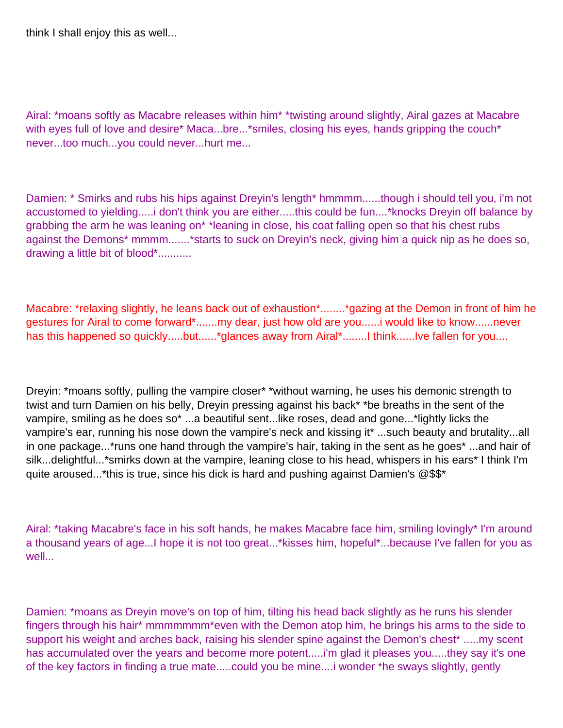think I shall enjoy this as well...

Airal: \*moans softly as Macabre releases within him\* \*twisting around slightly, Airal gazes at Macabre with eyes full of love and desire\* Maca...bre...\*smiles, closing his eyes, hands gripping the couch\* never...too much...you could never...hurt me...

Damien: \* Smirks and rubs his hips against Dreyin's length\* hmmmm......though i should tell you, i'm not accustomed to yielding.....i don't think you are either.....this could be fun....\*knocks Dreyin off balance by grabbing the arm he was leaning on\* \*leaning in close, his coat falling open so that his chest rubs against the Demons\* mmmm.......\*starts to suck on Dreyin's neck, giving him a quick nip as he does so, drawing a little bit of blood\*...........

Macabre: \*relaxing slightly, he leans back out of exhaustion\*........\*gazing at the Demon in front of him he gestures for Airal to come forward\*.......my dear, just how old are you......i would like to know......never has this happened so quickly.....but......\*glances away from Airal\*........I think......I ve fallen for you....

Dreyin: \*moans softly, pulling the vampire closer\* \*without warning, he uses his demonic strength to twist and turn Damien on his belly, Dreyin pressing against his back\* \*be breaths in the sent of the vampire, smiling as he does so\* ...a beautiful sent...like roses, dead and gone...\*lightly licks the vampire's ear, running his nose down the vampire's neck and kissing it\* ...such beauty and brutality...all in one package...\*runs one hand through the vampire's hair, taking in the sent as he goes\* ...and hair of silk...delightful...\*smirks down at the vampire, leaning close to his head, whispers in his ears\* I think I'm quite aroused...\*this is true, since his dick is hard and pushing against Damien's @\$\$\*

Airal: \*taking Macabre's face in his soft hands, he makes Macabre face him, smiling lovingly\* I'm around a thousand years of age...I hope it is not too great...\*kisses him, hopeful\*...because I've fallen for you as well...

Damien: \*moans as Dreyin move's on top of him, tilting his head back slightly as he runs his slender fingers through his hair\* mmmmmmm\*even with the Demon atop him, he brings his arms to the side to support his weight and arches back, raising his slender spine against the Demon's chest\* .....my scent has accumulated over the years and become more potent.....i'm glad it pleases you.....they say it's one of the key factors in finding a true mate.....could you be mine....i wonder \*he sways slightly, gently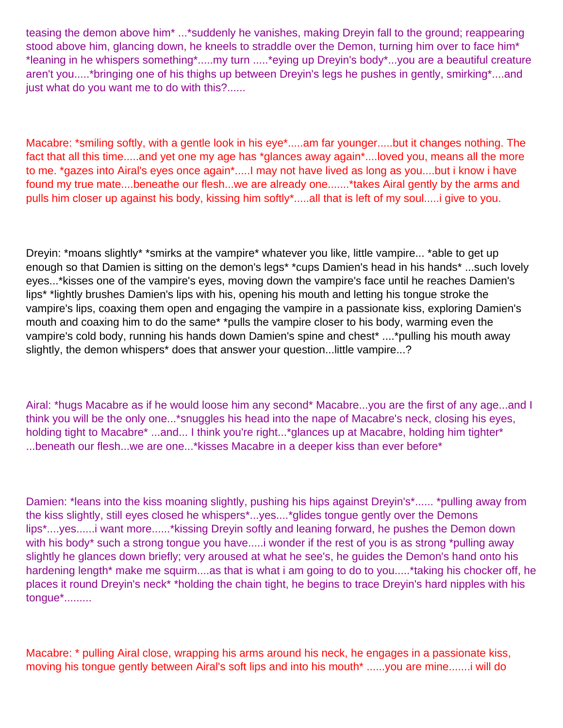teasing the demon above him\* ...\*suddenly he vanishes, making Dreyin fall to the ground; reappearing stood above him, glancing down, he kneels to straddle over the Demon, turning him over to face him<sup>\*</sup> \*leaning in he whispers something\*.....my turn .....\*eying up Dreyin's body\*...you are a beautiful creature aren't you.....\*bringing one of his thighs up between Dreyin's legs he pushes in gently, smirking\*....and just what do you want me to do with this?......

Macabre: \*smiling softly, with a gentle look in his eye\*.....am far younger.....but it changes nothing. The fact that all this time.....and yet one my age has \*glances away again\*....loved you, means all the more to me. \*gazes into Airal's eyes once again\*.....I may not have lived as long as you....but i know i have found my true mate....beneathe our flesh...we are already one.......\*takes Airal gently by the arms and pulls him closer up against his body, kissing him softly\*.....all that is left of my soul.....i give to you.

Dreyin: \*moans slightly\* \*smirks at the vampire\* whatever you like, little vampire... \*able to get up enough so that Damien is sitting on the demon's legs\* \*cups Damien's head in his hands\* ...such lovely eyes...\*kisses one of the vampire's eyes, moving down the vampire's face until he reaches Damien's lips\* \*lightly brushes Damien's lips with his, opening his mouth and letting his tongue stroke the vampire's lips, coaxing them open and engaging the vampire in a passionate kiss, exploring Damien's mouth and coaxing him to do the same\* \*pulls the vampire closer to his body, warming even the vampire's cold body, running his hands down Damien's spine and chest\* ....\*pulling his mouth away slightly, the demon whispers<sup>\*</sup> does that answer your question...little vampire...?

Airal: \*hugs Macabre as if he would loose him any second\* Macabre...you are the first of any age...and I think you will be the only one...\*snuggles his head into the nape of Macabre's neck, closing his eyes, holding tight to Macabre\* ...and... I think you're right...\*glances up at Macabre, holding him tighter\* ...beneath our flesh...we are one...\*kisses Macabre in a deeper kiss than ever before\*

Damien: \*leans into the kiss moaning slightly, pushing his hips against Dreyin's\*...... \*pulling away from the kiss slightly, still eyes closed he whispers\*...yes....\*glides tongue gently over the Demons lips\*....yes......i want more......\*kissing Dreyin softly and leaning forward, he pushes the Demon down with his body<sup>\*</sup> such a strong tongue you have.....i wonder if the rest of you is as strong \*pulling away slightly he glances down briefly; very aroused at what he see's, he guides the Demon's hand onto his hardening length<sup>\*</sup> make me squirm....as that is what i am going to do to you.....<sup>\*</sup>taking his chocker off, he places it round Dreyin's neck\* \*holding the chain tight, he begins to trace Dreyin's hard nipples with his tongue\*.........

Macabre: \* pulling Airal close, wrapping his arms around his neck, he engages in a passionate kiss, moving his tongue gently between Airal's soft lips and into his mouth<sup>\*</sup> ......you are mine.......i will do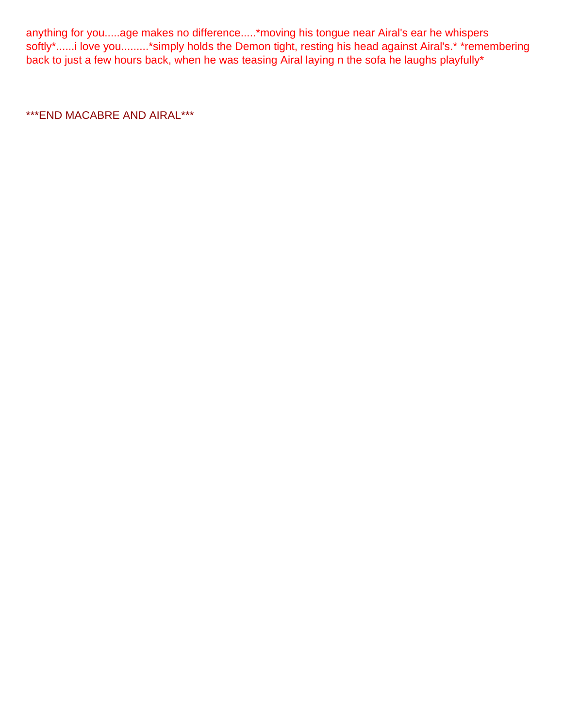anything for you.....age makes no difference.....\*moving his tongue near Airal's ear he whispers softly\*......i love you.........\*simply holds the Demon tight, resting his head against Airal's.\* \*remembering back to just a few hours back, when he was teasing Airal laying n the sofa he laughs playfully\*

\*\*\*END MACABRE AND AIRAL\*\*\*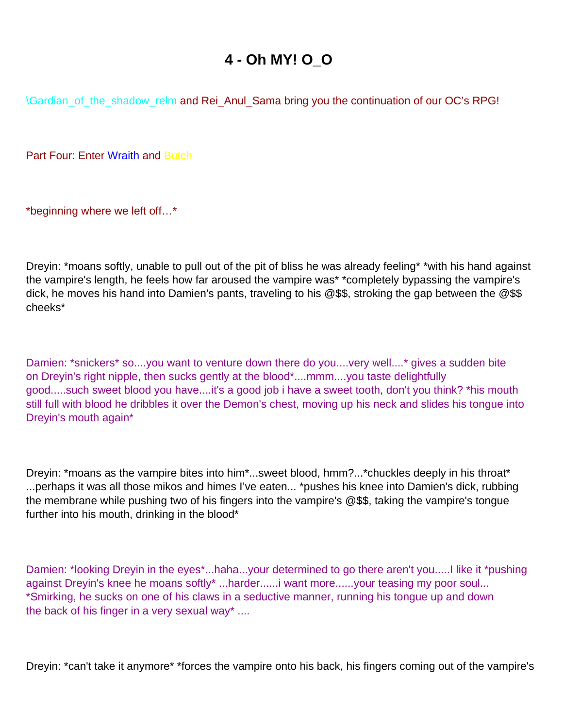## **4 - Oh MY! O\_O**

<span id="page-30-0"></span>\Gardian\_of\_the\_shadow\_relm and Rei\_Anul\_Sama bring you the continuation of our OC's RPG!

Part Four: Enter Wraith and Butch

\*beginning where we left off…\*

Dreyin: \*moans softly, unable to pull out of the pit of bliss he was already feeling\* \*with his hand against the vampire's length, he feels how far aroused the vampire was\* \*completely bypassing the vampire's dick, he moves his hand into Damien's pants, traveling to his @\$\$, stroking the gap between the @\$\$ cheeks\*

Damien: \*snickers\* so....you want to venture down there do you....very well....\* gives a sudden bite on Dreyin's right nipple, then sucks gently at the blood\*....mmm....you taste delightfully good.....such sweet blood you have....it's a good job i have a sweet tooth, don't you think? \*his mouth still full with blood he dribbles it over the Demon's chest, moving up his neck and slides his tongue into Dreyin's mouth again\*

Dreyin: \*moans as the vampire bites into him\*...sweet blood, hmm?...\*chuckles deeply in his throat\* ...perhaps it was all those mikos and himes I've eaten... \*pushes his knee into Damien's dick, rubbing the membrane while pushing two of his fingers into the vampire's @\$\$, taking the vampire's tongue further into his mouth, drinking in the blood\*

Damien: \*looking Dreyin in the eyes\*...haha...your determined to go there aren't you.....I like it \*pushing against Dreyin's knee he moans softly<sup>\*</sup> ...harder......i want more......your teasing my poor soul... \*Smirking, he sucks on one of his claws in a seductive manner, running his tongue up and down the back of his finger in a very sexual way\* ....

Dreyin: \*can't take it anymore\* \*forces the vampire onto his back, his fingers coming out of the vampire's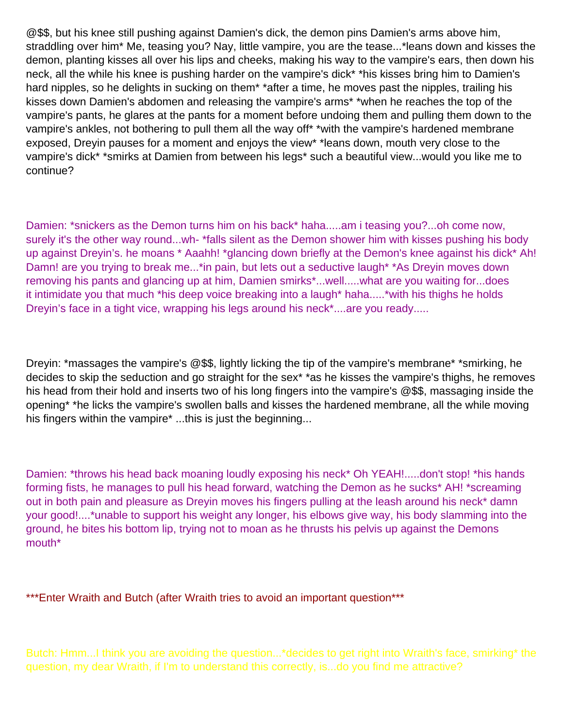@\$\$, but his knee still pushing against Damien's dick, the demon pins Damien's arms above him, straddling over him\* Me, teasing you? Nay, little vampire, you are the tease...\*leans down and kisses the demon, planting kisses all over his lips and cheeks, making his way to the vampire's ears, then down his neck, all the while his knee is pushing harder on the vampire's dick\* \*his kisses bring him to Damien's hard nipples, so he delights in sucking on them<sup>\*</sup> \*after a time, he moves past the nipples, trailing his kisses down Damien's abdomen and releasing the vampire's arms\* \*when he reaches the top of the vampire's pants, he glares at the pants for a moment before undoing them and pulling them down to the vampire's ankles, not bothering to pull them all the way off\* \*with the vampire's hardened membrane exposed, Dreyin pauses for a moment and enjoys the view\* \*leans down, mouth very close to the vampire's dick\* \*smirks at Damien from between his legs\* such a beautiful view...would you like me to continue?

Damien: \*snickers as the Demon turns him on his back\* haha.....am i teasing you?...oh come now, surely it's the other way round...wh- \*falls silent as the Demon shower him with kisses pushing his body up against Dreyin's. he moans \* Aaahh! \*glancing down briefly at the Demon's knee against his dick\* Ah! Damn! are you trying to break me...\*in pain, but lets out a seductive laugh\* \*As Dreyin moves down removing his pants and glancing up at him, Damien smirks\*...well.....what are you waiting for...does it intimidate you that much \*his deep voice breaking into a laugh\* haha.....\*with his thighs he holds Dreyin's face in a tight vice, wrapping his legs around his neck\*....are you ready.....

Dreyin: \*massages the vampire's @\$\$, lightly licking the tip of the vampire's membrane\* \*smirking, he decides to skip the seduction and go straight for the sex\* \*as he kisses the vampire's thighs, he removes his head from their hold and inserts two of his long fingers into the vampire's @\$\$, massaging inside the opening\* \*he licks the vampire's swollen balls and kisses the hardened membrane, all the while moving his fingers within the vampire<sup>\*</sup> ...this is just the beginning...

Damien: \*throws his head back moaning loudly exposing his neck\* Oh YEAH!.....don't stop! \*his hands forming fists, he manages to pull his head forward, watching the Demon as he sucks\* AH! \*screaming out in both pain and pleasure as Dreyin moves his fingers pulling at the leash around his neck\* damn your good!....\*unable to support his weight any longer, his elbows give way, his body slamming into the ground, he bites his bottom lip, trying not to moan as he thrusts his pelvis up against the Demons mouth\*

\*\*\*Enter Wraith and Butch (after Wraith tries to avoid an important question\*\*\*

Butch: Hmm...I think you are avoiding the question...\*decides to get right into Wraith's face, smirking\* the question, my dear Wraith, if I'm to understand this correctly, is...do you find me attractive?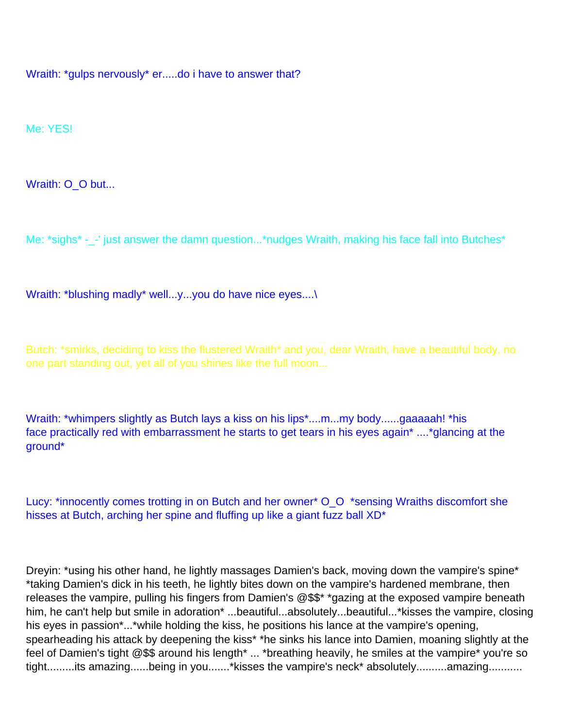Wraith: \*gulps nervously\* er.....do i have to answer that?

Me: YES!

Wraith: O\_O but...

Me: \*sighs\* -\_-' just answer the damn question...\*nudges Wraith, making his face fall into Butches\*

Wraith: \*blushing madly\* well...y...you do have nice eyes....\

Butch: \*smirks, deciding to kiss the flustered Wraith\* and you, dear Wraith, have a beautiful body, no one part standing out, yet all of you shines like the full moon...

Wraith: \*whimpers slightly as Butch lays a kiss on his lips\*....m...my body......gaaaaah! \*his face practically red with embarrassment he starts to get tears in his eyes again\* ....\*glancing at the ground\*

Lucy: \*innocently comes trotting in on Butch and her owner\* O\_O \*sensing Wraiths discomfort she hisses at Butch, arching her spine and fluffing up like a giant fuzz ball XD<sup>\*</sup>

Dreyin: \*using his other hand, he lightly massages Damien's back, moving down the vampire's spine\* \*taking Damien's dick in his teeth, he lightly bites down on the vampire's hardened membrane, then releases the vampire, pulling his fingers from Damien's @\$\$\* \*gazing at the exposed vampire beneath him, he can't help but smile in adoration<sup>\*</sup> ...beautiful...absolutely...beautiful...\*kisses the vampire, closing his eyes in passion\*...\*while holding the kiss, he positions his lance at the vampire's opening, spearheading his attack by deepening the kiss\* \*he sinks his lance into Damien, moaning slightly at the feel of Damien's tight @\$\$ around his length\* ... \*breathing heavily, he smiles at the vampire\* you're so tight.........its amazing......being in you.......\*kisses the vampire's neck\* absolutely...........amazing..........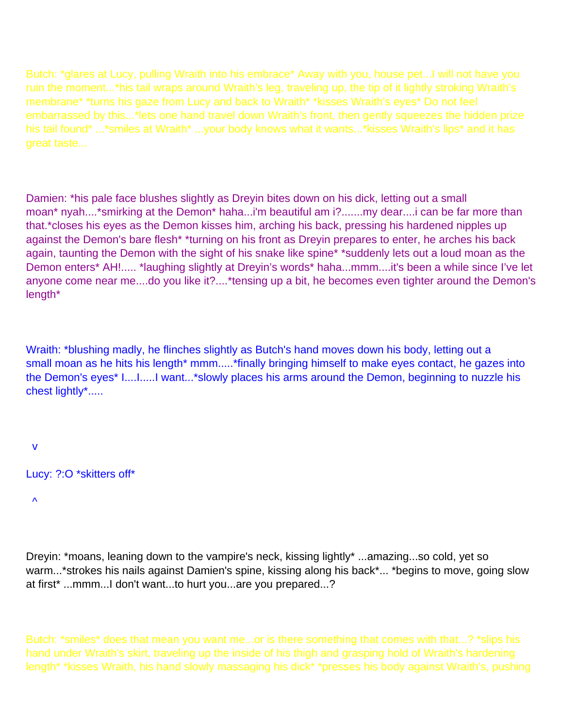Butch: \*glares at Lucy, pulling Wraith into his embrace\* Away with you, house pet...I will not have you ruin the moment...\*his tail wraps around Wraith's leg, traveling up, the tip of it lightly stroking Wraith's membrane\* \*turns his gaze from Lucy and back to Wraith\* \*kisses Wraith's eyes\* Do not feel embarrassed by this...\*lets one hand travel down Wraith's front, then gently squeezes the hidden prize his tail found\* ...\*smiles at Wraith\* ...your body knows what it wants...\*kisses Wraith's lips\* and it has great taste...

Damien: \*his pale face blushes slightly as Dreyin bites down on his dick, letting out a small moan\* nyah....\*smirking at the Demon\* haha...i'm beautiful am i?.......my dear....i can be far more than that.\*closes his eyes as the Demon kisses him, arching his back, pressing his hardened nipples up against the Demon's bare flesh\* \*turning on his front as Dreyin prepares to enter, he arches his back again, taunting the Demon with the sight of his snake like spine\* \*suddenly lets out a loud moan as the Demon enters\* AH!..... \*laughing slightly at Dreyin's words\* haha...mmm....it's been a while since I've let anyone come near me....do you like it?....\*tensing up a bit, he becomes even tighter around the Demon's length\*

Wraith: \*blushing madly, he flinches slightly as Butch's hand moves down his body, letting out a small moan as he hits his length\* mmm.....\*finally bringing himself to make eyes contact, he gazes into the Demon's eyes\* I....I.....I want...\*slowly places his arms around the Demon, beginning to nuzzle his chest lightly\*.....

v

Lucy: ?:O \*skitters off\*

 $\boldsymbol{\Lambda}$ 

Dreyin: \*moans, leaning down to the vampire's neck, kissing lightly\* ...amazing...so cold, yet so warm...\*strokes his nails against Damien's spine, kissing along his back\*... \*begins to move, going slow at first\* ...mmm...I don't want...to hurt you...are you prepared...?

Butch: \*smiles\* does that mean you want me...or is there something that comes with that...? \*slips his hand under Wraith's skirt, traveling up the inside of his thigh and grasping hold of Wraith's hardening length\* \*kisses Wraith, his hand slowly massaging his dick\* \*presses his body against Wraith's, pushing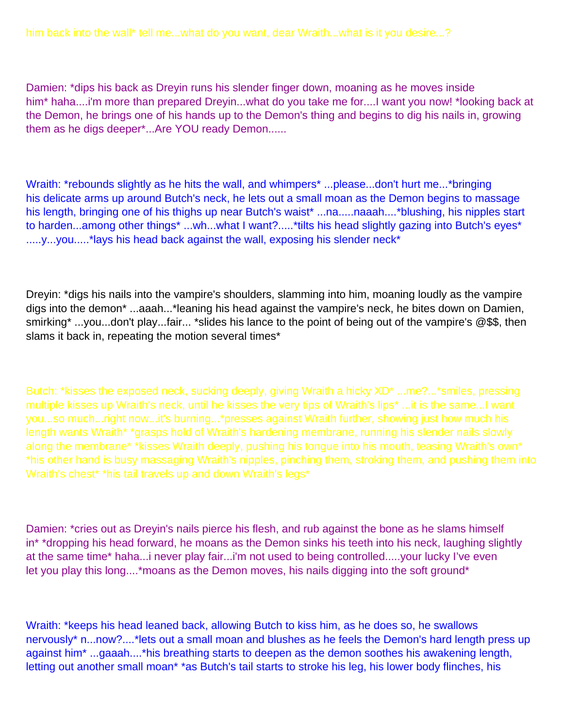Damien: \*dips his back as Dreyin runs his slender finger down, moaning as he moves inside him\* haha....i'm more than prepared Dreyin...what do you take me for....I want you now! \*looking back at the Demon, he brings one of his hands up to the Demon's thing and begins to dig his nails in, growing them as he digs deeper\*...Are YOU ready Demon......

Wraith: \*rebounds slightly as he hits the wall, and whimpers\* ...please...don't hurt me...\*bringing his delicate arms up around Butch's neck, he lets out a small moan as the Demon begins to massage his length, bringing one of his thighs up near Butch's waist\* ...na.....naaah....\*blushing, his nipples start to harden...among other things\* ...wh...what I want?.....\*tilts his head slightly gazing into Butch's eyes\* .....y...you.....\*lays his head back against the wall, exposing his slender neck\*

Dreyin: \*digs his nails into the vampire's shoulders, slamming into him, moaning loudly as the vampire digs into the demon\* ...aaah...\*leaning his head against the vampire's neck, he bites down on Damien, smirking\* ...you...don't play...fair... \*slides his lance to the point of being out of the vampire's @\$\$, then slams it back in, repeating the motion several times\*

Butch: \*kisses the exposed neck, sucking deeply, giving Wraith a hicky XD\* ...me?...\*smiles, pressing multiple kisses up Wraith's neck, until he kisses the very tips of Wraith's lips\* ...it is the same...I want you...so much...right now...it's burning...\*presses against Wraith further, showing just how much his length wants Wraith\* \*grasps hold of Wraith's hardening membrane, running his slender nails slowly along the membrane\* \*kisses Wraith deeply, pushing his tongue into his mouth, teasing Wraith's own\* \*his other hand is busy massaging Wraith's nipples, pinching them, stroking them, and pushing them into Wraith's chest\* \*his tail travels up and down Wraith's legs\*

Damien: \*cries out as Dreyin's nails pierce his flesh, and rub against the bone as he slams himself in\* \*dropping his head forward, he moans as the Demon sinks his teeth into his neck, laughing slightly at the same time\* haha...i never play fair...i'm not used to being controlled.....your lucky I've even let you play this long....\*moans as the Demon moves, his nails digging into the soft ground\*

Wraith: \*keeps his head leaned back, allowing Butch to kiss him, as he does so, he swallows nervously\* n...now?....\*lets out a small moan and blushes as he feels the Demon's hard length press up against him\* ...gaaah....\*his breathing starts to deepen as the demon soothes his awakening length, letting out another small moan\* \*as Butch's tail starts to stroke his leg, his lower body flinches, his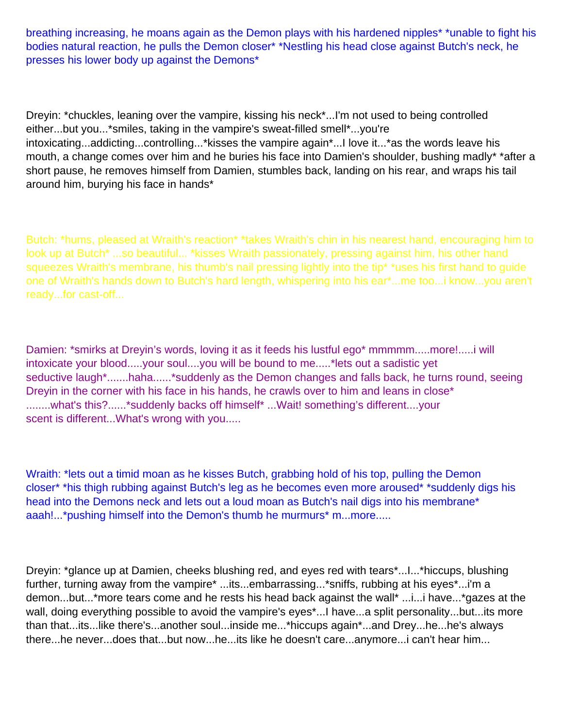breathing increasing, he moans again as the Demon plays with his hardened nipples\* \*unable to fight his bodies natural reaction, he pulls the Demon closer\* \*Nestling his head close against Butch's neck, he presses his lower body up against the Demons\*

Dreyin: \*chuckles, leaning over the vampire, kissing his neck\*...I'm not used to being controlled either...but you...\*smiles, taking in the vampire's sweat-filled smell\*...you're intoxicating...addicting...controlling...\*kisses the vampire again\*...I love it...\*as the words leave his mouth, a change comes over him and he buries his face into Damien's shoulder, bushing madly\* \*after a short pause, he removes himself from Damien, stumbles back, landing on his rear, and wraps his tail around him, burying his face in hands\*

Butch: \*hums, pleased at Wraith's reaction\* \*takes Wraith's chin in his nearest hand, encouraging him to look up at Butch\* ...so beautiful... \*kisses Wraith passionately, pressing against him, his other hand squeezes Wraith's membrane, his thumb's nail pressing lightly into the tip<sup>\*</sup> \*uses his first hand to guide one of Wraith's hands down to Butch's hard length, whispering into his ear\*...me too...i know...you aren't ready...for cast-off...

Damien: \*smirks at Dreyin's words, loving it as it feeds his lustful ego\* mmmmm.....more!.....i will intoxicate your blood.....your soul....you will be bound to me.....\*lets out a sadistic yet seductive laugh\*.......haha......\*suddenly as the Demon changes and falls back, he turns round, seeing Dreyin in the corner with his face in his hands, he crawls over to him and leans in close\* ........what's this?......\*suddenly backs off himself\* ...Wait! something's different....your scent is different...What's wrong with you.....

Wraith: \*lets out a timid moan as he kisses Butch, grabbing hold of his top, pulling the Demon closer\* \*his thigh rubbing against Butch's leg as he becomes even more aroused\* \*suddenly digs his head into the Demons neck and lets out a loud moan as Butch's nail digs into his membrane<sup>\*</sup> aaah!...\*pushing himself into the Demon's thumb he murmurs\* m...more.....

Dreyin: \*glance up at Damien, cheeks blushing red, and eyes red with tears\*...I...\*hiccups, blushing further, turning away from the vampire\* ...its...embarrassing...\*sniffs, rubbing at his eyes\*...i'm a demon...but...\*more tears come and he rests his head back against the wall\* ...i...i have...\*gazes at the wall, doing everything possible to avoid the vampire's eyes\*...I have...a split personality...but...its more than that...its...like there's...another soul...inside me...\*hiccups again\*...and Drey...he...he's always there...he never...does that...but now...he...its like he doesn't care...anymore...i can't hear him...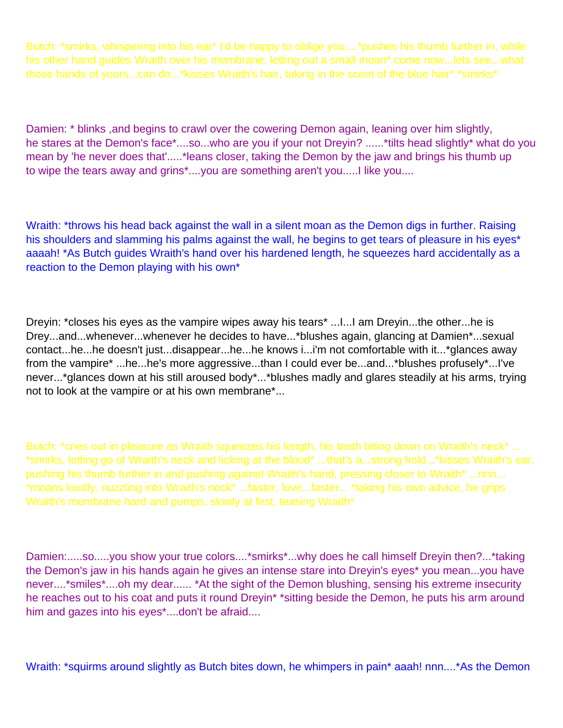Butch: \*smirks, whispering into his ear\* I'd be happy to oblige you....\*pushes his thumb further in, while his other hand guides Wraith over his membrane, letting out a small moan\* come now...lets see...what those hands of yours...can do...\*kisses Wraith's hair, taking in the scent of the blue hair\* \*smirks\*

Damien: \* blinks, and begins to crawl over the cowering Demon again, leaning over him slightly, he stares at the Demon's face\*....so...who are you if your not Dreyin? ......\*tilts head slightly\* what do you mean by 'he never does that'.....\*leans closer, taking the Demon by the jaw and brings his thumb up to wipe the tears away and grins\*....you are something aren't you.....I like you....

Wraith: \*throws his head back against the wall in a silent moan as the Demon digs in further. Raising his shoulders and slamming his palms against the wall, he begins to get tears of pleasure in his eyes<sup>\*</sup> aaaah! \*As Butch guides Wraith's hand over his hardened length, he squeezes hard accidentally as a reaction to the Demon playing with his own\*

Dreyin: \*closes his eyes as the vampire wipes away his tears\* ...I...I am Dreyin...the other...he is Drey...and...whenever...whenever he decides to have...\*blushes again, glancing at Damien\*...sexual contact...he...he doesn't just...disappear...he...he knows i...i'm not comfortable with it...\*glances away from the vampire\* ...he...he's more aggressive...than I could ever be...and...\*blushes profusely\*...I've never...\*glances down at his still aroused body\*...\*blushes madly and glares steadily at his arms, trying not to look at the vampire or at his own membrane\*...

Butch: \*cries out in pleasure as Wraith squeezes his length, his teeth biting down on Wraith's neck\* ... \*smirks, letting go of Wraith's neck and licking at the blood\* ...that's a...strong hold...\*kisses Wraith's ear, pushing his thumb further in and pushing against Wraith's hand, pressing closer to Wraith\* ...nnn... \*moans loudly, nuzzling into Wraith's neck\* ...faster, love...faster... \*taking his own advice, he grips Wraith's membrane hard and pumps, slowly at first, teasing Wraith\*

Damien:.....so.....you show your true colors....\*smirks\*...why does he call himself Dreyin then?...\*taking the Demon's jaw in his hands again he gives an intense stare into Dreyin's eyes\* you mean...you have never....\*smiles\*....oh my dear...... \*At the sight of the Demon blushing, sensing his extreme insecurity he reaches out to his coat and puts it round Dreyin\* \*sitting beside the Demon, he puts his arm around him and gazes into his eyes\*....don't be afraid....

Wraith: \*squirms around slightly as Butch bites down, he whimpers in pain\* aaah! nnn....\*As the Demon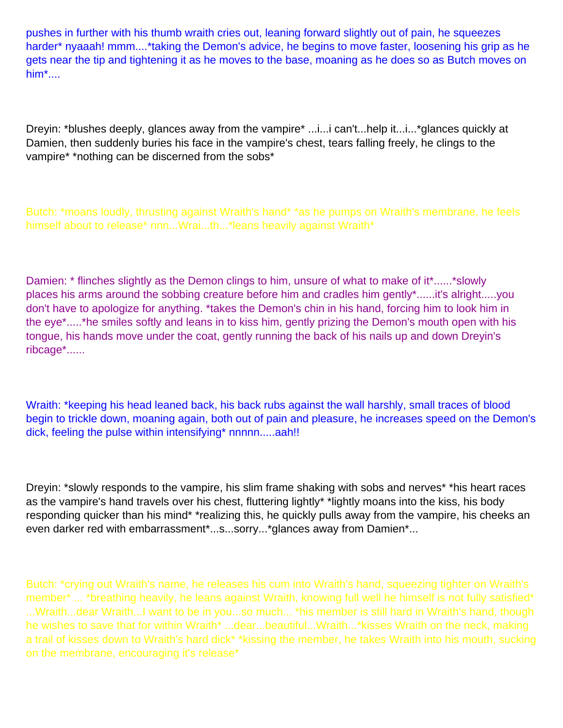pushes in further with his thumb wraith cries out, leaning forward slightly out of pain, he squeezes harder\* nyaaah! mmm....\*taking the Demon's advice, he begins to move faster, loosening his grip as he gets near the tip and tightening it as he moves to the base, moaning as he does so as Butch moves on him\*....

Dreyin: \*blushes deeply, glances away from the vampire\* ...i...i can't...help it...i...\*glances quickly at Damien, then suddenly buries his face in the vampire's chest, tears falling freely, he clings to the vampire\* \*nothing can be discerned from the sobs\*

Butch: \*moans loudly, thrusting against Wraith's hand\* \*as he pumps on Wraith's membrane, he feels himself about to release\* nnn...Wrai...th...\*leans heavily against Wraith\*

Damien: \* flinches slightly as the Demon clings to him, unsure of what to make of it\*......\* slowly places his arms around the sobbing creature before him and cradles him gently\*......it's alright.....you don't have to apologize for anything. \*takes the Demon's chin in his hand, forcing him to look him in the eye\*.....\*he smiles softly and leans in to kiss him, gently prizing the Demon's mouth open with his tongue, his hands move under the coat, gently running the back of his nails up and down Dreyin's ribcage\*......

Wraith: \*keeping his head leaned back, his back rubs against the wall harshly, small traces of blood begin to trickle down, moaning again, both out of pain and pleasure, he increases speed on the Demon's dick, feeling the pulse within intensifying\* nnnnn.....aah!!

Dreyin: \*slowly responds to the vampire, his slim frame shaking with sobs and nerves\* \*his heart races as the vampire's hand travels over his chest, fluttering lightly\* \*lightly moans into the kiss, his body responding quicker than his mind\* \*realizing this, he quickly pulls away from the vampire, his cheeks an even darker red with embarrassment\*...s...sorry...\*glances away from Damien\*...

Butch: \*crying out Wraith's name, he releases his cum into Wraith's hand, squeezing tighter on Wraith's member\* ... \*breathing heavily, he leans against Wraith, knowing full well he himself is not fully satisfied\* ...Wraith...dear Wraith...I want to be in you...so much... \*his member is still hard in Wraith's hand, though he wishes to save that for within Wraith\* ...dear...beautiful...Wraith...\*kisses Wraith on the neck, making a trail of kisses down to Wraith's hard dick\* \*kissing the member, he takes Wraith into his mouth, sucking on the membrane, encouraging it's release\*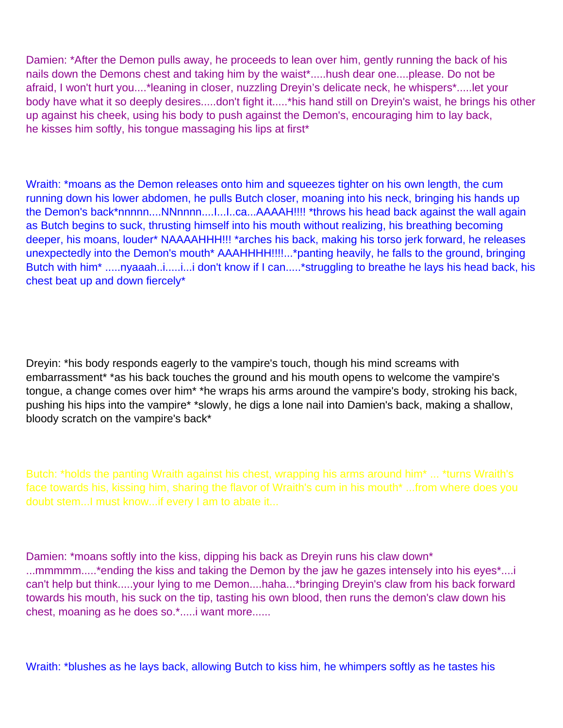Damien: \*After the Demon pulls away, he proceeds to lean over him, gently running the back of his nails down the Demons chest and taking him by the waist\*.....hush dear one....please. Do not be afraid, I won't hurt you....\*leaning in closer, nuzzling Dreyin's delicate neck, he whispers\*.....let your body have what it so deeply desires.....don't fight it.....\*his hand still on Dreyin's waist, he brings his other up against his cheek, using his body to push against the Demon's, encouraging him to lay back, he kisses him softly, his tongue massaging his lips at first\*

Wraith: \*moans as the Demon releases onto him and squeezes tighter on his own length, the cum running down his lower abdomen, he pulls Butch closer, moaning into his neck, bringing his hands up the Demon's back\*nnnnn....NNnnnn....I...I...ca...AAAAH!!!! \*throws his head back against the wall again as Butch begins to suck, thrusting himself into his mouth without realizing, his breathing becoming deeper, his moans, louder\* NAAAAHHH!!! \*arches his back, making his torso jerk forward, he releases unexpectedly into the Demon's mouth\* AAAHHHH!!!!...\*panting heavily, he falls to the ground, bringing Butch with him<sup>\*</sup> .....nyaaah..i.....i...i don't know if I can.....\*struggling to breathe he lays his head back, his chest beat up and down fiercely\*

Dreyin: \*his body responds eagerly to the vampire's touch, though his mind screams with embarrassment\* \*as his back touches the ground and his mouth opens to welcome the vampire's tongue, a change comes over him\* \*he wraps his arms around the vampire's body, stroking his back, pushing his hips into the vampire\* \*slowly, he digs a lone nail into Damien's back, making a shallow, bloody scratch on the vampire's back\*

Butch: \*holds the panting Wraith against his chest, wrapping his arms around him\* ... \*turns Wraith's face towards his, kissing him, sharing the flavor of Wraith's cum in his mouth\* ...from where does you doubt stem...I must know...if every I am to abate it...

Damien: \*moans softly into the kiss, dipping his back as Dreyin runs his claw down\* ...mmmmm.....\*ending the kiss and taking the Demon by the jaw he gazes intensely into his eyes\*....i can't help but think.....your lying to me Demon....haha...\*bringing Dreyin's claw from his back forward towards his mouth, his suck on the tip, tasting his own blood, then runs the demon's claw down his chest, moaning as he does so.\*.....i want more......

Wraith: \*blushes as he lays back, allowing Butch to kiss him, he whimpers softly as he tastes his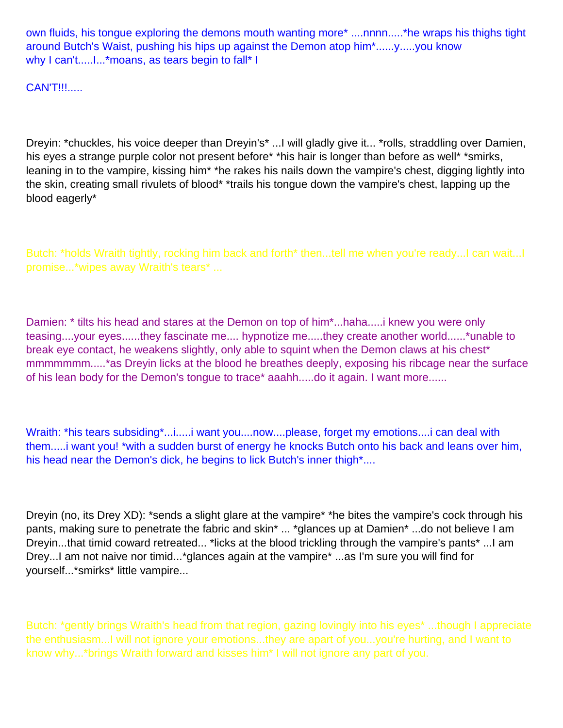own fluids, his tongue exploring the demons mouth wanting more\* ....nnnn.....\*he wraps his thighs tight around Butch's Waist, pushing his hips up against the Demon atop him\*......y.....you know why I can't.....I...\* moans, as tears begin to fall\* I

CAN'T!!!.....

Dreyin: \*chuckles, his voice deeper than Dreyin's\* ...I will gladly give it... \*rolls, straddling over Damien, his eyes a strange purple color not present before\* \*his hair is longer than before as well\* \*smirks, leaning in to the vampire, kissing him\* \*he rakes his nails down the vampire's chest, digging lightly into the skin, creating small rivulets of blood\* \*trails his tongue down the vampire's chest, lapping up the blood eagerly\*

Butch: \*holds Wraith tightly, rocking him back and forth\* then...tell me when you're ready...I can wait...I promise...\*wipes away Wraith's tears\* ...

Damien: \* tilts his head and stares at the Demon on top of him\*...haha.....i knew you were only teasing....your eyes......they fascinate me.... hypnotize me.....they create another world......\*unable to break eye contact, he weakens slightly, only able to squint when the Demon claws at his chest\* mmmmmmm.....\*as Dreyin licks at the blood he breathes deeply, exposing his ribcage near the surface of his lean body for the Demon's tongue to trace\* aaahh.....do it again. I want more......

Wraith: \*his tears subsiding\*...i.....i want you....now....please, forget my emotions....i can deal with them.....i want you! \*with a sudden burst of energy he knocks Butch onto his back and leans over him, his head near the Demon's dick, he begins to lick Butch's inner thigh\*....

Dreyin (no, its Drey XD): \*sends a slight glare at the vampire\* \*he bites the vampire's cock through his pants, making sure to penetrate the fabric and skin\* ... \*glances up at Damien\* ...do not believe I am Dreyin...that timid coward retreated... \*licks at the blood trickling through the vampire's pants\* ...I am Drey...I am not naive nor timid...\*glances again at the vampire\* ...as I'm sure you will find for yourself...\*smirks\* little vampire...

Butch: \*gently brings Wraith's head from that region, gazing lovingly into his eyes\* ...though I appreciate the enthusiasm...I will not ignore your emotions...they are apart of you...you're hurting, and I want to know why...\*brings Wraith forward and kisses him\* I will not ignore any part of you.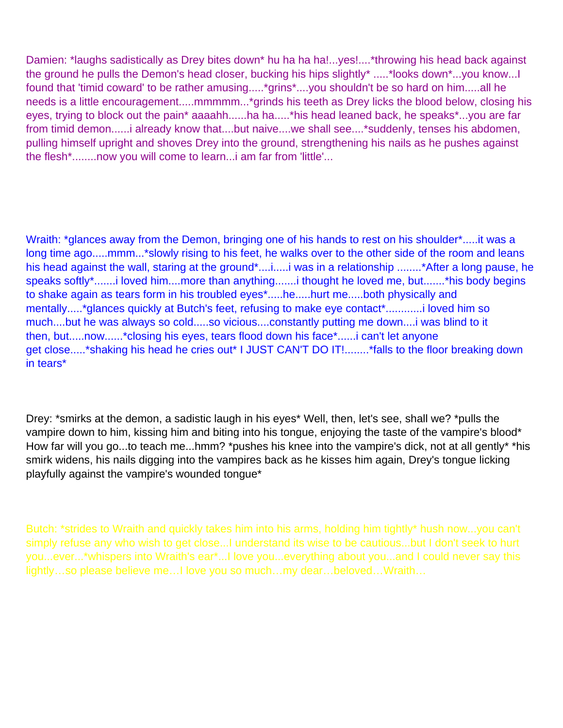Damien: \*laughs sadistically as Drey bites down\* hu ha ha ha!...yes!....\*throwing his head back against the ground he pulls the Demon's head closer, bucking his hips slightly\* .....\*looks down\*...you know...I found that 'timid coward' to be rather amusing.....\*grins\*....you shouldn't be so hard on him.....all he needs is a little encouragement.....mmmmm...\*grinds his teeth as Drey licks the blood below, closing his eyes, trying to block out the pain<sup>\*</sup> aaaahh......ha ha.....<sup>\*</sup>his head leaned back, he speaks<sup>\*</sup>...you are far from timid demon......i already know that....but naive....we shall see....\*suddenly, tenses his abdomen, pulling himself upright and shoves Drey into the ground, strengthening his nails as he pushes against the flesh\*........now you will come to learn...i am far from 'little'...

Wraith: \*glances away from the Demon, bringing one of his hands to rest on his shoulder\*.....it was a long time ago.....mmm...\*slowly rising to his feet, he walks over to the other side of the room and leans his head against the wall, staring at the ground\*....i.....i was in a relationship ........\*After a long pause, he speaks softly\*.......i loved him....more than anything.......i thought he loved me, but.......\*his body begins to shake again as tears form in his troubled eyes\*.....he.....hurt me.....both physically and mentally.....\*glances quickly at Butch's feet, refusing to make eye contact\*............i loved him so much....but he was always so cold.....so vicious....constantly putting me down....i was blind to it then, but.....now......\*closing his eyes, tears flood down his face\*......i can't let anyone get close.....\*shaking his head he cries out\* I JUST CAN'T DO IT!........\*falls to the floor breaking down in tears\*

Drey: \*smirks at the demon, a sadistic laugh in his eyes\* Well, then, let's see, shall we? \*pulls the vampire down to him, kissing him and biting into his tongue, enjoying the taste of the vampire's blood\* How far will you go...to teach me...hmm? \*pushes his knee into the vampire's dick, not at all gently\* \*his smirk widens, his nails digging into the vampires back as he kisses him again, Drey's tongue licking playfully against the vampire's wounded tongue\*

Butch: \*strides to Wraith and quickly takes him into his arms, holding him tightly\* hush now...you can't simply refuse any who wish to get close...I understand its wise to be cautious...but I don't seek to hurt you...ever...\*whispers into Wraith's ear\*...I love you...everything about you...and I could never say this lightly…so please believe me…I love you so much…my dear…beloved…Wraith…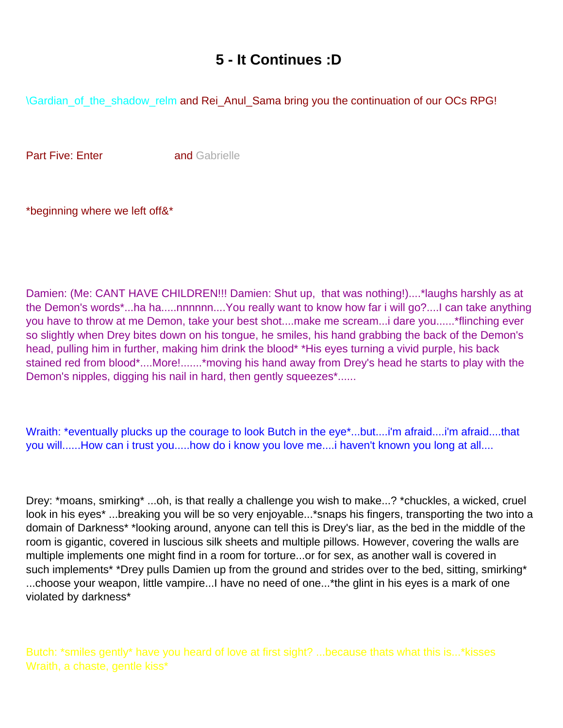## **5 - It Continues :D**

<span id="page-41-0"></span>\Gardian\_of\_the\_shadow\_relm and Rei\_Anul\_Sama bring you the continuation of our OC s RPG!

**Part Five: Enter Voresand Gabrielle** 

\*beginning where we left off&\*

Damien: (Me: CANT HAVE CHILDREN!!! Damien: Shut up, that was nothing!)....\*laughs harshly as at the Demon's words\*...ha ha.....nnnnnn....You really want to know how far i will go?....I can take anything you have to throw at me Demon, take your best shot....make me scream...i dare you......\*flinching ever so slightly when Drey bites down on his tongue, he smiles, his hand grabbing the back of the Demon's head, pulling him in further, making him drink the blood\* \*His eyes turning a vivid purple, his back stained red from blood\*....More!.......\*moving his hand away from Drey's head he starts to play with the Demon's nipples, digging his nail in hard, then gently squeezes\*......

Wraith: \*eventually plucks up the courage to look Butch in the eye\*...but....i'm afraid....i'm afraid....that you will......How can i trust you.....how do i know you love me....i haven't known you long at all....

Drey: \*moans, smirking\* ...oh, is that really a challenge you wish to make...? \*chuckles, a wicked, cruel look in his eyes\* ...breaking you will be so very enjoyable...\*snaps his fingers, transporting the two into a domain of Darkness\* \*looking around, anyone can tell this is Drey's liar, as the bed in the middle of the room is gigantic, covered in luscious silk sheets and multiple pillows. However, covering the walls are multiple implements one might find in a room for torture...or for sex, as another wall is covered in such implements\* \*Drey pulls Damien up from the ground and strides over to the bed, sitting, smirking\* ...choose your weapon, little vampire...I have no need of one...\*the glint in his eyes is a mark of one violated by darkness\*

Butch: \*smiles gently\* have you heard of love at first sight? ...because that s what this is...\*kisses Wraith, a chaste, gentle kiss\*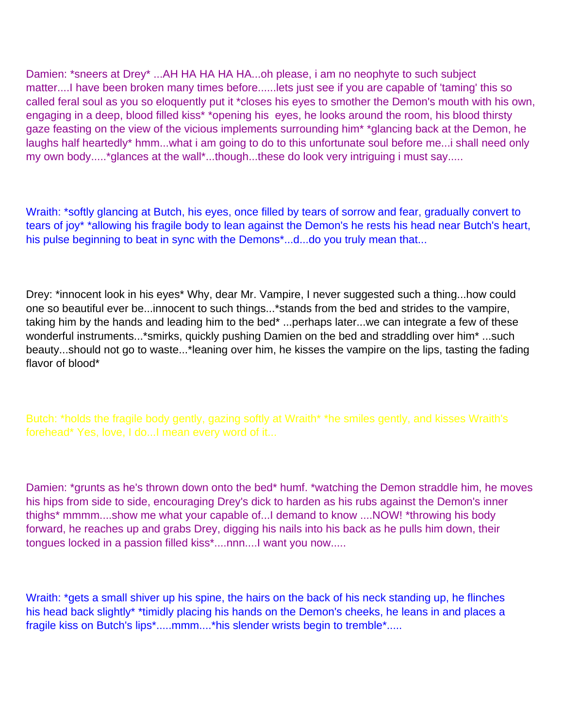Damien: \*sneers at Drey\* ...AH HA HA HA HA...oh please, i am no neophyte to such subject matter....I have been broken many times before......lets just see if you are capable of 'taming' this so called feral soul as you so eloquently put it \*closes his eyes to smother the Demon's mouth with his own, engaging in a deep, blood filled kiss\* \*opening his eyes, he looks around the room, his blood thirsty gaze feasting on the view of the vicious implements surrounding him\* \*glancing back at the Demon, he laughs half heartedly\* hmm...what i am going to do to this unfortunate soul before me...i shall need only my own body.....\*glances at the wall\*...though...these do look very intriguing i must say.....

Wraith: \*softly glancing at Butch, his eyes, once filled by tears of sorrow and fear, gradually convert to tears of joy\* \*allowing his fragile body to lean against the Demon's he rests his head near Butch's heart, his pulse beginning to beat in sync with the Demons\*...d...do you truly mean that...

Drey: \*innocent look in his eyes\* Why, dear Mr. Vampire, I never suggested such a thing...how could one so beautiful ever be...innocent to such things...\*stands from the bed and strides to the vampire, taking him by the hands and leading him to the bed\* ...perhaps later...we can integrate a few of these wonderful instruments...\*smirks, quickly pushing Damien on the bed and straddling over him\* ...such beauty...should not go to waste...\*leaning over him, he kisses the vampire on the lips, tasting the fading flavor of blood\*

Butch: \*holds the fragile body gently, gazing softly at Wraith\* \*he smiles gently, and kisses Wraith's forehead\* Yes, love, I do...I mean every word of it...

Damien: \*grunts as he's thrown down onto the bed\* humf. \*watching the Demon straddle him, he moves his hips from side to side, encouraging Drey's dick to harden as his rubs against the Demon's inner thighs\* mmmm....show me what your capable of...I demand to know ....NOW! \*throwing his body forward, he reaches up and grabs Drey, digging his nails into his back as he pulls him down, their tongues locked in a passion filled kiss\*....nnn....I want you now.....

Wraith: \*gets a small shiver up his spine, the hairs on the back of his neck standing up, he flinches his head back slightly\* \*timidly placing his hands on the Demon's cheeks, he leans in and places a fragile kiss on Butch's lips\*.....mmm....\*his slender wrists begin to tremble\*.....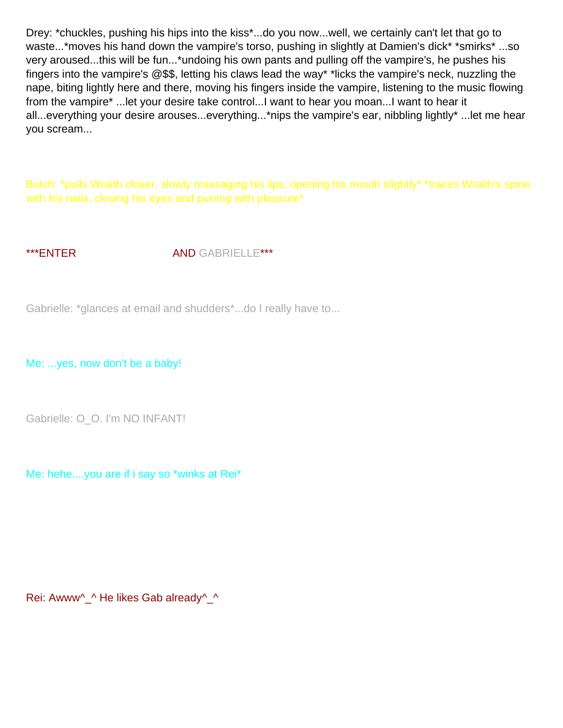Drey: \*chuckles, pushing his hips into the kiss\*...do you now...well, we certainly can't let that go to waste...\*moves his hand down the vampire's torso, pushing in slightly at Damien's dick\* \*smirks\* ...so very aroused...this will be fun...\*undoing his own pants and pulling off the vampire's, he pushes his fingers into the vampire's @\$\$, letting his claws lead the way\* \*licks the vampire's neck, nuzzling the nape, biting lightly here and there, moving his fingers inside the vampire, listening to the music flowing from the vampire\* ...let your desire take control...I want to hear you moan...I want to hear it all...everything your desire arouses...everything...\*nips the vampire's ear, nibbling lightly\* ...let me hear you scream...

Butch: \*pulls Wraith closer, slowly massaging his lips, opening his mouth slightly\* \*traces Wraith's spine with his nails, closing his eyes and purring with pleasure\*

\*\*\*ENTER AND GABRIELLE\*\*\*

Gabrielle: \*glances at email and shudders\*...do I really have to...

Me: ...yes, now don't be a baby!

Gabrielle: O\_O. I'm NO INFANT!

Me: hehe....you are if i say so \*winks at Rei\*

Rei: Awww^ ^ He likes Gab already^ ^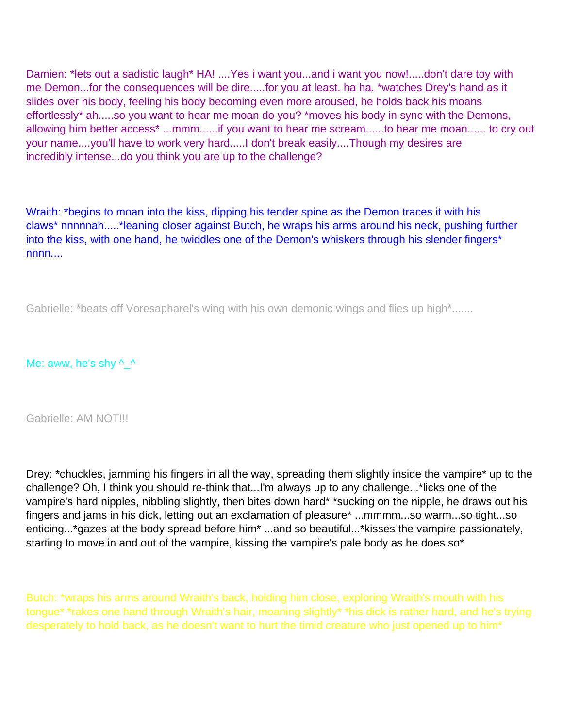Damien: \*lets out a sadistic laugh\* HA! .... Yes i want you...and i want you now!.....don't dare toy with me Demon...for the consequences will be dire.....for you at least. ha ha. \*watches Drey's hand as it slides over his body, feeling his body becoming even more aroused, he holds back his moans effortlessly\* ah.....so you want to hear me moan do you? \*moves his body in sync with the Demons, allowing him better access\* ...mmm......if you want to hear me scream......to hear me moan...... to cry out your name....you'll have to work very hard.....I don't break easily....Though my desires are incredibly intense...do you think you are up to the challenge?

Wraith: \*begins to moan into the kiss, dipping his tender spine as the Demon traces it with his claws\* nnnnnah.....\*leaning closer against Butch, he wraps his arms around his neck, pushing further into the kiss, with one hand, he twiddles one of the Demon's whiskers through his slender fingers\*  $nnnn...$ 

Gabrielle: \*beats off Voresapharel's wing with his own demonic wings and flies up high \*.......

Me: aww, he's shy  $^{\wedge}$  ^

Gabrielle: AM NOT!!!

Drey: \*chuckles, jamming his fingers in all the way, spreading them slightly inside the vampire\* up to the challenge? Oh, I think you should re-think that...I'm always up to any challenge...\*licks one of the vampire's hard nipples, nibbling slightly, then bites down hard\* \*sucking on the nipple, he draws out his fingers and jams in his dick, letting out an exclamation of pleasure\* ...mmmm...so warm...so tight...so enticing...\*gazes at the body spread before him\* ...and so beautiful...\*kisses the vampire passionately, starting to move in and out of the vampire, kissing the vampire's pale body as he does so<sup>\*</sup>

Butch: \*wraps his arms around Wraith's back, holding him close, exploring Wraith's mouth with his tongue\* \*rakes one hand through Wraith's hair, moaning slightly\* \*his dick is rather hard, and he's trying desperately to hold back, as he doesn't want to hurt the timid creature who just opened up to him\*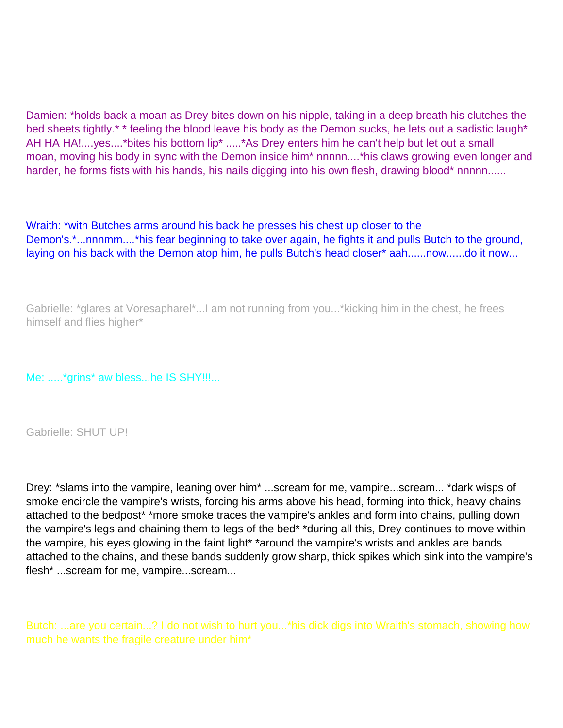Damien: \*holds back a moan as Drey bites down on his nipple, taking in a deep breath his clutches the bed sheets tightly.\* \* feeling the blood leave his body as the Demon sucks, he lets out a sadistic laugh\* AH HA HA!....yes....\*bites his bottom lip\* .....\*As Drey enters him he can't help but let out a small moan, moving his body in sync with the Demon inside him\* nnnnn....\*his claws growing even longer and harder, he forms fists with his hands, his nails digging into his own flesh, drawing blood\* nnnnn......

Wraith: \*with Butches arms around his back he presses his chest up closer to the Demon's.\*...nnnmm....\*his fear beginning to take over again, he fights it and pulls Butch to the ground, laying on his back with the Demon atop him, he pulls Butch's head closer\* aah......now......do it now...

Gabrielle: \*glares at Voresapharel\*...I am not running from you...\*kicking him in the chest, he frees himself and flies higher\*

Me: .....\*grins\* aw bless...he IS SHY!!!...

Gabrielle: SHUT UP!

Drey: \*slams into the vampire, leaning over him\* ...scream for me, vampire...scream... \*dark wisps of smoke encircle the vampire's wrists, forcing his arms above his head, forming into thick, heavy chains attached to the bedpost\* \*more smoke traces the vampire's ankles and form into chains, pulling down the vampire's legs and chaining them to legs of the bed\* \*during all this, Drey continues to move within the vampire, his eyes glowing in the faint light\* \*around the vampire's wrists and ankles are bands attached to the chains, and these bands suddenly grow sharp, thick spikes which sink into the vampire's flesh\* ...scream for me, vampire...scream...

Butch: ...are you certain...? I do not wish to hurt you...\*his dick digs into Wraith's stomach, showing how much he wants the fragile creature under him\*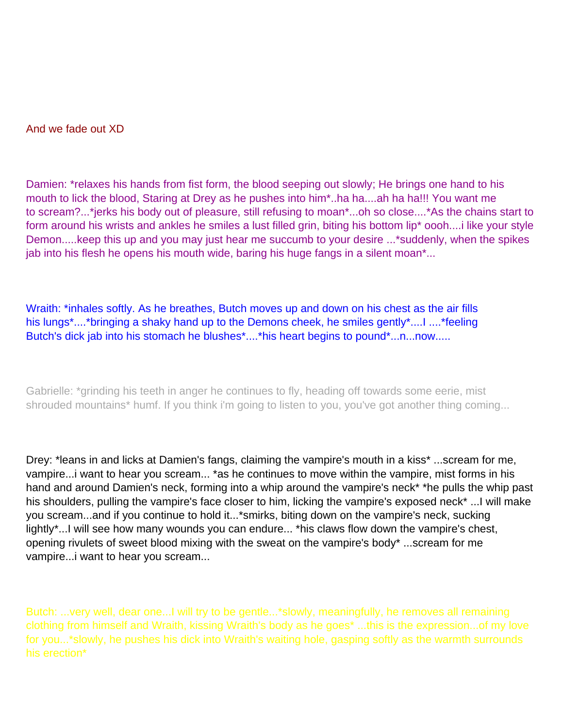And we fade out XD

Damien: \*relaxes his hands from fist form, the blood seeping out slowly; He brings one hand to his mouth to lick the blood, Staring at Drey as he pushes into him\*..ha ha....ah ha ha!!! You want me to scream?...\*jerks his body out of pleasure, still refusing to moan\*...oh so close....\*As the chains start to form around his wrists and ankles he smiles a lust filled grin, biting his bottom lip\* oooh....i like your style Demon.....keep this up and you may just hear me succumb to your desire ...\*suddenly, when the spikes jab into his flesh he opens his mouth wide, baring his huge fangs in a silent moan\*...

Wraith: \*inhales softly. As he breathes, Butch moves up and down on his chest as the air fills his lungs\*....\*bringing a shaky hand up to the Demons cheek, he smiles gently\*....I ....\*feeling Butch's dick jab into his stomach he blushes\*....\*his heart begins to pound\*...n...now.....

Gabrielle: \*grinding his teeth in anger he continues to fly, heading off towards some eerie, mist shrouded mountains<sup>\*</sup> humf. If you think i'm going to listen to you, you've got another thing coming...

Drey: \*leans in and licks at Damien's fangs, claiming the vampire's mouth in a kiss\* ...scream for me, vampire...i want to hear you scream... \*as he continues to move within the vampire, mist forms in his hand and around Damien's neck, forming into a whip around the vampire's neck\* \*he pulls the whip past his shoulders, pulling the vampire's face closer to him, licking the vampire's exposed neck\* ...I will make you scream...and if you continue to hold it...\*smirks, biting down on the vampire's neck, sucking lightly\*...I will see how many wounds you can endure... \*his claws flow down the vampire's chest, opening rivulets of sweet blood mixing with the sweat on the vampire's body\* ...scream for me vampire...i want to hear you scream...

Butch: ...very well, dear one...I will try to be gentle...\*slowly, meaningfully, he removes all remaining clothing from himself and Wraith, kissing Wraith's body as he goes\* ...this is the expression...of my love for you...\*slowly, he pushes his dick into Wraith's waiting hole, gasping softly as the warmth surrounds his erection\*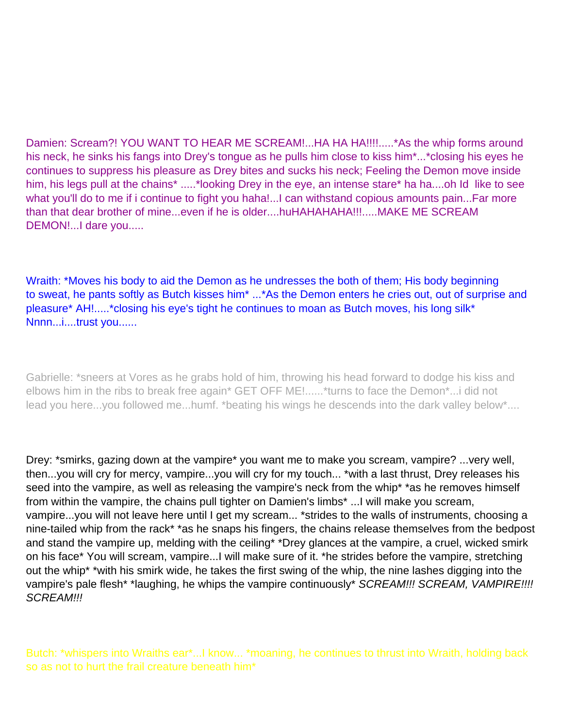Damien: Scream?! YOU WANT TO HEAR ME SCREAM!...HA HA HA!!!!.....\*As the whip forms around his neck, he sinks his fangs into Drey's tongue as he pulls him close to kiss him\*...\*closing his eyes he continues to suppress his pleasure as Drey bites and sucks his neck; Feeling the Demon move inside him, his legs pull at the chains\* .....\*looking Drey in the eye, an intense stare\* ha ha....oh I d like to see what you'll do to me if i continue to fight you haha!...I can withstand copious amounts pain...Far more than that dear brother of mine...even if he is older....huHAHAHAHA!!!.....MAKE ME SCREAM DEMON!...I dare you.....

Wraith: \*Moves his body to aid the Demon as he undresses the both of them; His body beginning to sweat, he pants softly as Butch kisses him\* ...\*As the Demon enters he cries out, out of surprise and pleasure\* AH!.....\*closing his eye's tight he continues to moan as Butch moves, his long silk\* Nnnn...i....trust you......

Gabrielle: \*sneers at Vores as he grabs hold of him, throwing his head forward to dodge his kiss and elbows him in the ribs to break free again\* GET OFF ME!......\*turns to face the Demon\*...i did not lead you here...you followed me...humf. \*beating his wings he descends into the dark valley below\*....

Drey: \*smirks, gazing down at the vampire\* you want me to make you scream, vampire? ...very well, then...you will cry for mercy, vampire...you will cry for my touch... \*with a last thrust, Drey releases his seed into the vampire, as well as releasing the vampire's neck from the whip\* \*as he removes himself from within the vampire, the chains pull tighter on Damien's limbs\* ...I will make you scream, vampire...you will not leave here until I get my scream... \*strides to the walls of instruments, choosing a nine-tailed whip from the rack\* \*as he snaps his fingers, the chains release themselves from the bedpost and stand the vampire up, melding with the ceiling<sup>\*</sup> \*Drey glances at the vampire, a cruel, wicked smirk on his face\* You will scream, vampire...I will make sure of it. \*he strides before the vampire, stretching out the whip\* \*with his smirk wide, he takes the first swing of the whip, the nine lashes digging into the vampire's pale flesh\* \*laughing, he whips the vampire continuously\* SCREAM!!! SCREAM, VAMPIRE!!!! SCREAM!!!

Butch: \*whispers into Wraith s ear\*...I know... \*moaning, he continues to thrust into Wraith, holding back so as not to hurt the frail creature beneath him\*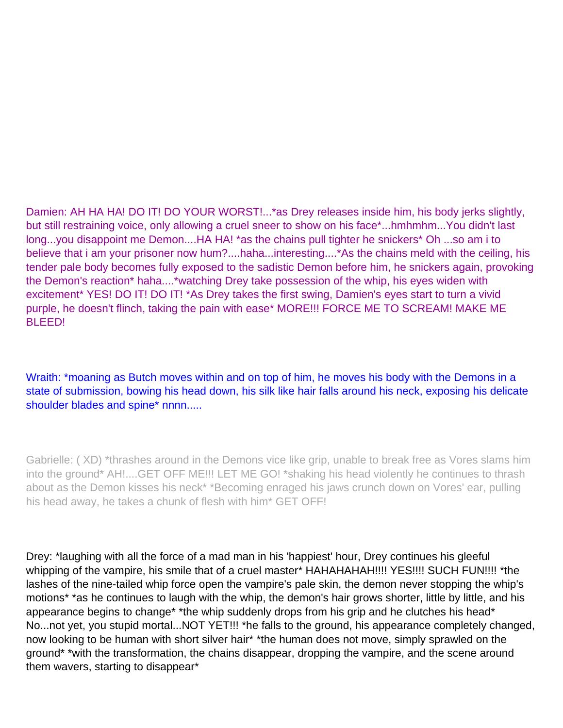Damien: AH HA HA! DO IT! DO YOUR WORST!...\*as Drey releases inside him, his body jerks slightly, but still restraining voice, only allowing a cruel sneer to show on his face\*...hmhmhm...You didn't last long...you disappoint me Demon....HA HA! \*as the chains pull tighter he snickers\* Oh ...so am i to believe that i am your prisoner now hum?....haha...interesting....\*As the chains meld with the ceiling, his tender pale body becomes fully exposed to the sadistic Demon before him, he snickers again, provoking the Demon's reaction\* haha....\*watching Drey take possession of the whip, his eyes widen with excitement\* YES! DO IT! DO IT! \*As Drey takes the first swing, Damien's eyes start to turn a vivid purple, he doesn't flinch, taking the pain with ease\* MORE!!! FORCE ME TO SCREAM! MAKE ME BLEED!

Wraith: \*moaning as Butch moves within and on top of him, he moves his body with the Demons in a state of submission, bowing his head down, his silk like hair falls around his neck, exposing his delicate shoulder blades and spine\* nnnn.....

Gabrielle: ( XD) \*thrashes around in the Demons vice like grip, unable to break free as Vores slams him into the ground\* AH!....GET OFF ME!!! LET ME GO! \*shaking his head violently he continues to thrash about as the Demon kisses his neck\* \*Becoming enraged his jaws crunch down on Vores' ear, pulling his head away, he takes a chunk of flesh with him\* GET OFF!

Drey: \*laughing with all the force of a mad man in his 'happiest' hour, Drey continues his gleeful whipping of the vampire, his smile that of a cruel master\* HAHAHAHAH!!!! YES!!!! SUCH FUN!!!! \*the lashes of the nine-tailed whip force open the vampire's pale skin, the demon never stopping the whip's motions<sup>\*</sup> \*as he continues to laugh with the whip, the demon's hair grows shorter, little by little, and his appearance begins to change\* \*the whip suddenly drops from his grip and he clutches his head\* No...not yet, you stupid mortal...NOT YET!!! \*he falls to the ground, his appearance completely changed, now looking to be human with short silver hair\* \*the human does not move, simply sprawled on the ground\* \*with the transformation, the chains disappear, dropping the vampire, and the scene around them wavers, starting to disappear\*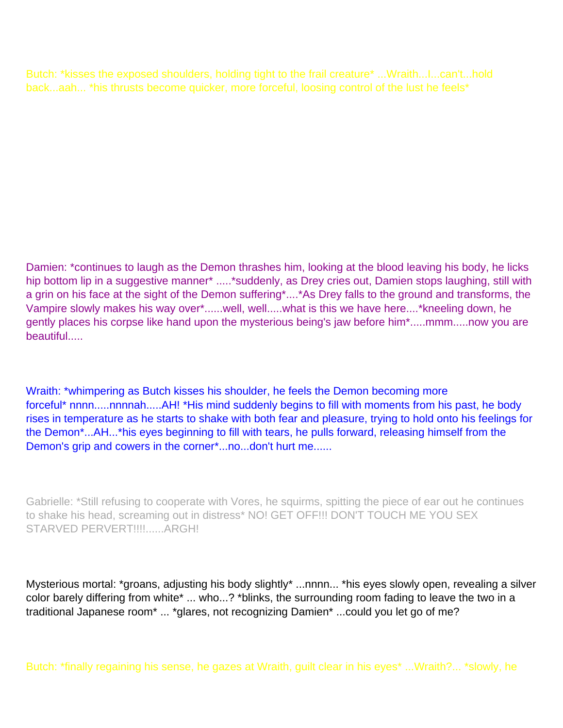Butch: \*kisses the exposed shoulders, holding tight to the frail creature\* ...Wraith...I...can't...hold back...aah... \*his thrusts become quicker, more forceful, loosing control of the lust he feels\*

Damien: \*continues to laugh as the Demon thrashes him, looking at the blood leaving his body, he licks hip bottom lip in a suggestive manner\* .....\*suddenly, as Drey cries out, Damien stops laughing, still with a grin on his face at the sight of the Demon suffering\*....\*As Drey falls to the ground and transforms, the Vampire slowly makes his way over\*......well, well.....what is this we have here....\*kneeling down, he gently places his corpse like hand upon the mysterious being's jaw before him\*.....mmm.....now you are beautiful.....

Wraith: \*whimpering as Butch kisses his shoulder, he feels the Demon becoming more forceful<sup>\*</sup> nnnn.....nnnnah.....AH! \*His mind suddenly begins to fill with moments from his past, he body rises in temperature as he starts to shake with both fear and pleasure, trying to hold onto his feelings for the Demon\*...AH...\*his eyes beginning to fill with tears, he pulls forward, releasing himself from the Demon's grip and cowers in the corner\*...no...don't hurt me......

Gabrielle: \*Still refusing to cooperate with Vores, he squirms, spitting the piece of ear out he continues to shake his head, screaming out in distress\* NO! GET OFF!!! DON'T TOUCH ME YOU SEX STARVED PERVERT!!!!......ARGH!

Mysterious mortal: \*groans, adjusting his body slightly\* ...nnnn... \*his eyes slowly open, revealing a silver color barely differing from white\* ... who...? \*blinks, the surrounding room fading to leave the two in a traditional Japanese room\* ... \*glares, not recognizing Damien\* ...could you let go of me?

Butch: \*finally regaining his sense, he gazes at Wraith, guilt clear in his eyes\* ...Wraith?... \*slowly, he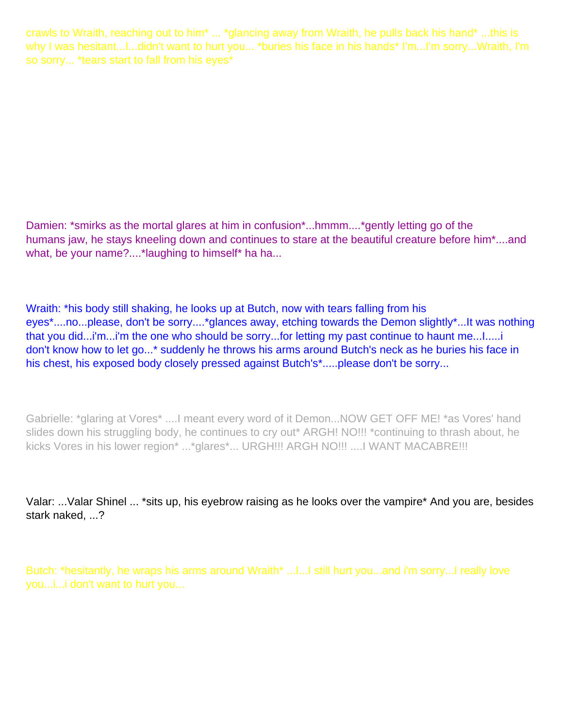crawls to Wraith, reaching out to him\* ... \*glancing away from Wraith, he pulls back his hand\* ...this is why I was hesitant...I...didn't want to hurt you... \*buries his face in his hands\* I'm...I'm sorry...Wraith, I'm so sorry... \*tears start to fall from his eyes\*

Damien: \*smirks as the mortal glares at him in confusion\*...hmmm....\*gently letting go of the humans jaw, he stays kneeling down and continues to stare at the beautiful creature before him\*....and what, be your name?....\*laughing to himself\* ha ha...

Wraith: \*his body still shaking, he looks up at Butch, now with tears falling from his eyes\*....no...please, don't be sorry....\*glances away, etching towards the Demon slightly\*...It was nothing that you did...i'm...i'm the one who should be sorry...for letting my past continue to haunt me...I.....i don't know how to let go...\* suddenly he throws his arms around Butch's neck as he buries his face in his chest, his exposed body closely pressed against Butch's\*.....please don't be sorry...

Gabrielle: \*glaring at Vores\* ....I meant every word of it Demon...NOW GET OFF ME! \*as Vores' hand slides down his struggling body, he continues to cry out\* ARGH! NO!!! \*continuing to thrash about, he kicks Vores in his lower region\* ...\*glares\*... URGH!!! ARGH NO!!! ....I WANT MACABRE!!!

Valar: ...Valar Shinel ... \*sits up, his eyebrow raising as he looks over the vampire\* And you are, besides stark naked, ...?

Butch: \*hesitantly, he wraps his arms around Wraith\* ...I...I still hurt you...and i'm sorry...I really love you...i...i don't want to hurt you...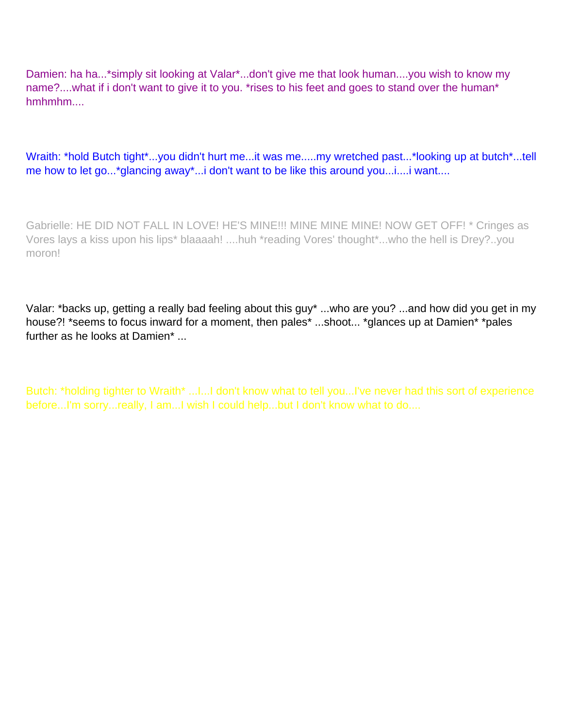Damien: ha ha...\*simply sit looking at Valar\*...don't give me that look human....you wish to know my name?....what if i don't want to give it to you. \*rises to his feet and goes to stand over the human\* hmhmhm....

Wraith: \*hold Butch tight\*...you didn't hurt me...it was me.....my wretched past...\*looking up at butch\*...tell me how to let go...\*glancing away\*...i don't want to be like this around you...i....i want....

Gabrielle: HE DID NOT FALL IN LOVE! HE'S MINE!!! MINE MINE MINE! NOW GET OFF! \* Cringes as Vores lays a kiss upon his lips\* blaaaah! ....huh \*reading Vores' thought\*...who the hell is Drey?..you moron!

Valar: \*backs up, getting a really bad feeling about this guy\* ...who are you? ...and how did you get in my house?! \*seems to focus inward for a moment, then pales\* ...shoot... \*glances up at Damien\* \*pales further as he looks at Damien\* ...

Butch: \*holding tighter to Wraith\* ...I...I don't know what to tell you...I've never had this sort of experience before...I'm sorry...really, I am...I wish I could help...but I don't know what to do....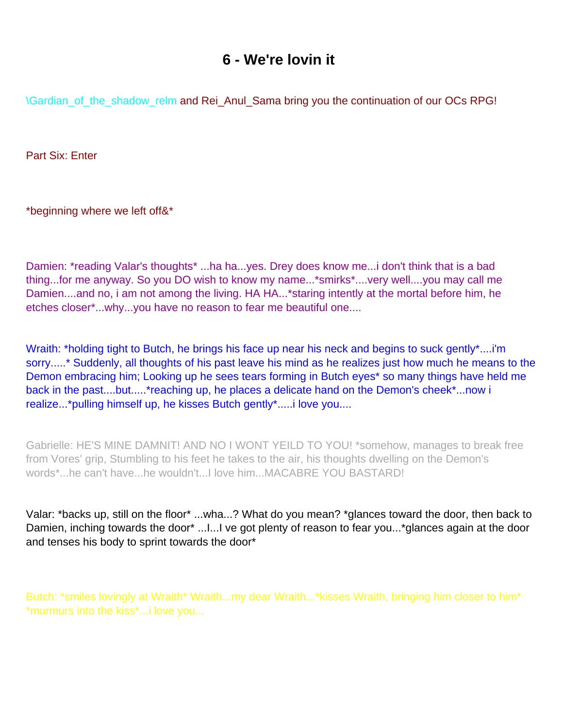## **6 - We're lovin it**

<span id="page-52-0"></span>\Gardian\_of\_the\_shadow\_relm and Rei\_Anul\_Sama bring you the continuation of our OC s RPG!

Part Six: Enter

\*beginning where we left off&\*

Damien: \*reading Valar's thoughts\* ...ha ha...yes. Drey does know me...i don't think that is a bad thing...for me anyway. So you DO wish to know my name...\*smirks\*....very well....you may call me Damien....and no, i am not among the living. HA HA...\* staring intently at the mortal before him, he etches closer\*...why...you have no reason to fear me beautiful one....

Wraith: \*holding tight to Butch, he brings his face up near his neck and begins to suck gently\*....i'm sorry.....\* Suddenly, all thoughts of his past leave his mind as he realizes just how much he means to the Demon embracing him; Looking up he sees tears forming in Butch eyes\* so many things have held me back in the past....but.....\*reaching up, he places a delicate hand on the Demon's cheek\*...now i realize...\*pulling himself up, he kisses Butch gently\*.....i love you....

Gabrielle: HE'S MINE DAMNIT! AND NO I WONT YEILD TO YOU! \*somehow, manages to break free from Vores' grip, Stumbling to his feet he takes to the air, his thoughts dwelling on the Demon's words\*...he can't have...he wouldn't...I love him...MACABRE YOU BASTARD!

Valar: \*backs up, still on the floor\* ...wha...? What do you mean? \*glances toward the door, then back to Damien, inching towards the door\* ... I... I ve got plenty of reason to fear you...\*glances again at the door and tenses his body to sprint towards the door\*

Butch: \*smiles lovingly at Wraith\* Wraith...my dear Wraith...\*kisses Wraith, bringing him closer to him\* \*murmurs into the kiss\*...i love you...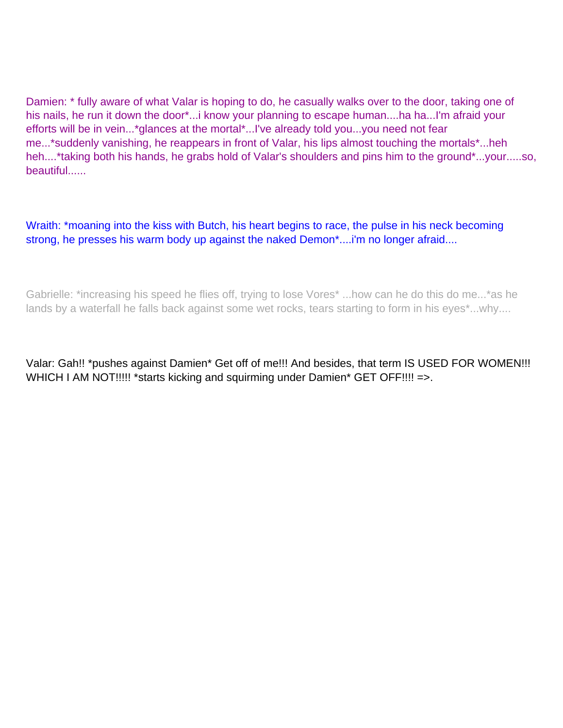Damien: \* fully aware of what Valar is hoping to do, he casually walks over to the door, taking one of his nails, he run it down the door\*...i know your planning to escape human....ha ha...I'm afraid your efforts will be in vein...\*glances at the mortal\*...I've already told you...you need not fear me...\*suddenly vanishing, he reappears in front of Valar, his lips almost touching the mortals\*...heh heh....\*taking both his hands, he grabs hold of Valar's shoulders and pins him to the ground\*...your.....so, beautiful......

Wraith: \*moaning into the kiss with Butch, his heart begins to race, the pulse in his neck becoming strong, he presses his warm body up against the naked Demon\*....i'm no longer afraid....

Gabrielle: \*increasing his speed he flies off, trying to lose Vores\* ...how can he do this do me...\*as he lands by a waterfall he falls back against some wet rocks, tears starting to form in his eyes\*...why....

Valar: Gah!! \*pushes against Damien\* Get off of me!!! And besides, that term IS USED FOR WOMEN!!! WHICH I AM NOT!!!!! \* starts kicking and squirming under Damien\* GET OFF!!!! = >.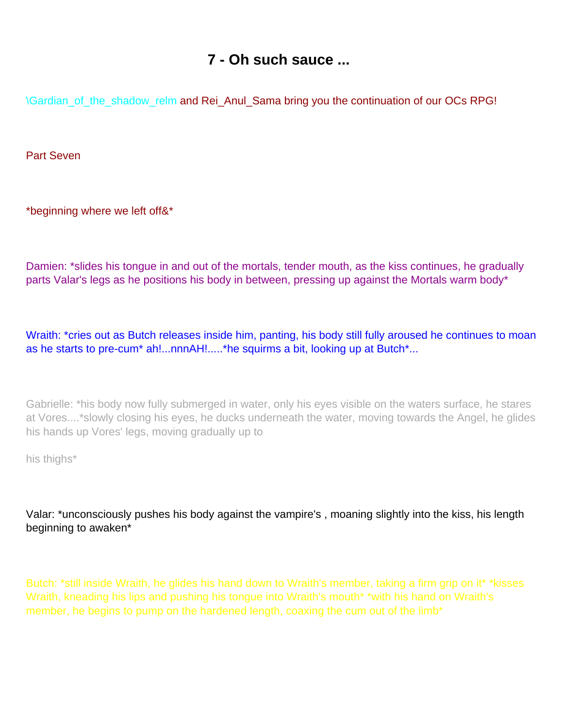## **7 - Oh such sauce ...**

<span id="page-54-0"></span>\Gardian\_of\_the\_shadow\_relm and Rei\_Anul\_Sama bring you the continuation of our OC s RPG!

Part Seven

\*beginning where we left off&\*

Damien: \*slides his tongue in and out of the mortals, tender mouth, as the kiss continues, he gradually parts Valar's legs as he positions his body in between, pressing up against the Mortals warm body\*

Wraith: \*cries out as Butch releases inside him, panting, his body still fully aroused he continues to moan as he starts to pre-cum\* ah!...nnnAH!.....\*he squirms a bit, looking up at Butch\*...

Gabrielle: \*his body now fully submerged in water, only his eyes visible on the waters surface, he stares at Vores....\*slowly closing his eyes, he ducks underneath the water, moving towards the Angel, he glides his hands up Vores' legs, moving gradually up to

his thighs\*

Valar: \*unconsciously pushes his body against the vampire's , moaning slightly into the kiss, his length beginning to awaken\*

Butch: \*still inside Wraith, he glides his hand down to Wraith's member, taking a firm grip on it\* \*kisses Wraith, kneading his lips and pushing his tongue into Wraith's mouth\* \*with his hand on Wraith's member, he begins to pump on the hardened length, coaxing the cum out of the limb<sup>\*</sup>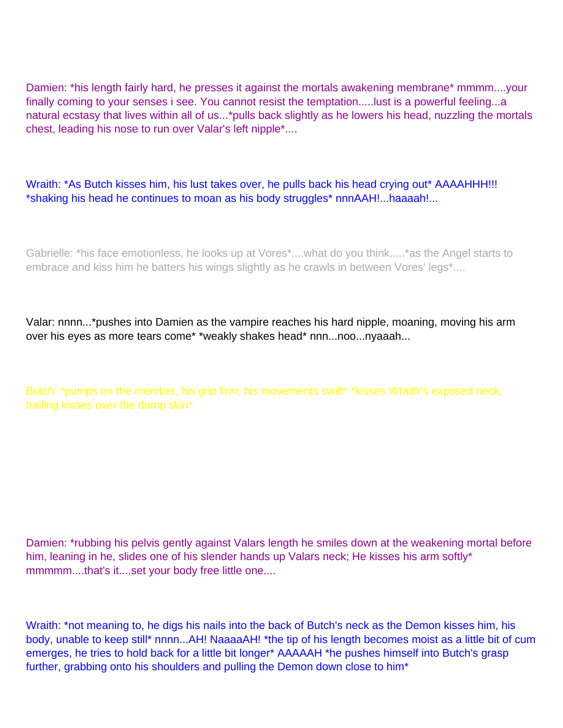Damien: \*his length fairly hard, he presses it against the mortals awakening membrane\* mmmm....your finally coming to your senses i see. You cannot resist the temptation.....lust is a powerful feeling...a natural ecstasy that lives within all of us...\*pulls back slightly as he lowers his head, nuzzling the mortals chest, leading his nose to run over Valar's left nipple\*....

Wraith: \*As Butch kisses him, his lust takes over, he pulls back his head crying out\* AAAAHHH!!! \*shaking his head he continues to moan as his body struggles\* nnnAAH!...haaaah!...

Gabrielle: \*his face emotionless, he looks up at Vores\*....what do you think.....\*as the Angel starts to embrace and kiss him he batters his wings slightly as he crawls in between Vores' legs\*....

Valar: nnnn...\*pushes into Damien as the vampire reaches his hard nipple, moaning, moving his arm over his eyes as more tears come\* \*weakly shakes head\* nnn...noo...nyaaah...

Butch: \*pumps on the member, his grip firm, his movements swift\* \*kisses Wraith's exposed neck, trailing kisses over the damp skin\*

Damien: \*rubbing his pelvis gently against Valar s length he smiles down at the weakening mortal before him, leaning in he, slides one of his slender hands up Valar s neck; He kisses his arm softly\* mmmmm....that's it....set your body free little one....

Wraith: \*not meaning to, he digs his nails into the back of Butch's neck as the Demon kisses him, his body, unable to keep still\* nnnn...AH! NaaaaAH! \*the tip of his length becomes moist as a little bit of cum emerges, he tries to hold back for a little bit longer\* AAAAAH \*he pushes himself into Butch's grasp further, grabbing onto his shoulders and pulling the Demon down close to him\*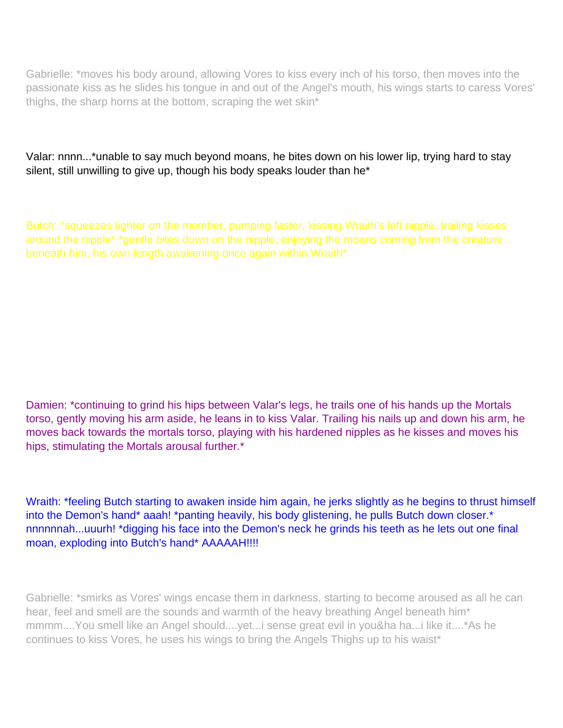Gabrielle: \*moves his body around, allowing Vores to kiss every inch of his torso, then moves into the passionate kiss as he slides his tongue in and out of the Angel's mouth, his wings starts to caress Vores' thighs, the sharp horns at the bottom, scraping the wet skin\*

Valar: nnnn...\*unable to say much beyond moans, he bites down on his lower lip, trying hard to stay silent, still unwilling to give up, though his body speaks louder than he\*

Butch: \*squeezes tighter on the member, pumping faster, kissing Wraith's left nipple, trailing kisses around the nipple\* \*gentle bites down on the nipple, enjoying the moans coming from the creature beneath him, his own length awakening once again within Wraith\*

Damien: \*continuing to grind his hips between Valar's legs, he trails one of his hands up the Mortals torso, gently moving his arm aside, he leans in to kiss Valar. Trailing his nails up and down his arm, he moves back towards the mortals torso, playing with his hardened nipples as he kisses and moves his hips, stimulating the Mortals arousal further.\*

Wraith: \*feeling Butch starting to awaken inside him again, he jerks slightly as he begins to thrust himself into the Demon's hand\* aaah! \*panting heavily, his body glistening, he pulls Butch down closer.\* nnnnnnah...uuurh! \*digging his face into the Demon's neck he grinds his teeth as he lets out one final moan, exploding into Butch's hand\* AAAAAH!!!!

Gabrielle: \*smirks as Vores' wings encase them in darkness, starting to become aroused as all he can hear, feel and smell are the sounds and warmth of the heavy breathing Angel beneath him\* mmmm....You smell like an Angel should....yet...i sense great evil in you&ha ha...i like it....\*As he continues to kiss Vores, he uses his wings to bring the Angels Thighs up to his waist\*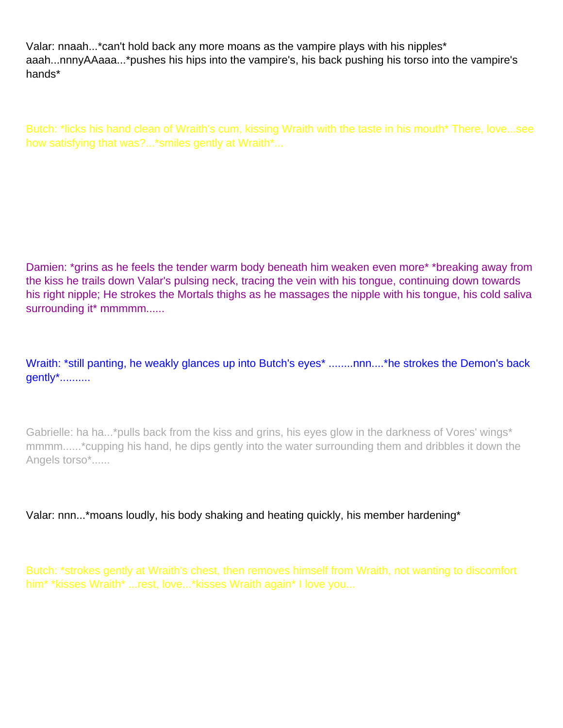Valar: nnaah...\*can't hold back any more moans as the vampire plays with his nipples\* aaah...nnnyAAaaa...\*pushes his hips into the vampire's, his back pushing his torso into the vampire's hands\*

Butch: \*licks his hand clean of Wraith's cum, kissing Wraith with the taste in his mouth\* There, love...see how satisfying that was?...\*smiles gently at Wraith\*...

Damien: \*grins as he feels the tender warm body beneath him weaken even more\* \*breaking away from the kiss he trails down Valar's pulsing neck, tracing the vein with his tongue, continuing down towards his right nipple; He strokes the Mortals thighs as he massages the nipple with his tongue, his cold saliva surrounding it\* mmmmm......

Wraith: \*still panting, he weakly glances up into Butch's eyes\* ........nnn....\*he strokes the Demon's back gently\*..........

Gabrielle: ha ha...\*pulls back from the kiss and grins, his eyes glow in the darkness of Vores' wings\* mmmm......\*cupping his hand, he dips gently into the water surrounding them and dribbles it down the Angels torso\*......

Valar: nnn...\*moans loudly, his body shaking and heating quickly, his member hardening\*

Butch: \*strokes gently at Wraith's chest, then removes himself from Wraith, not wanting to discomfort him\* \*kisses Wraith\* ...rest, love...\*kisses Wraith again\* I love you...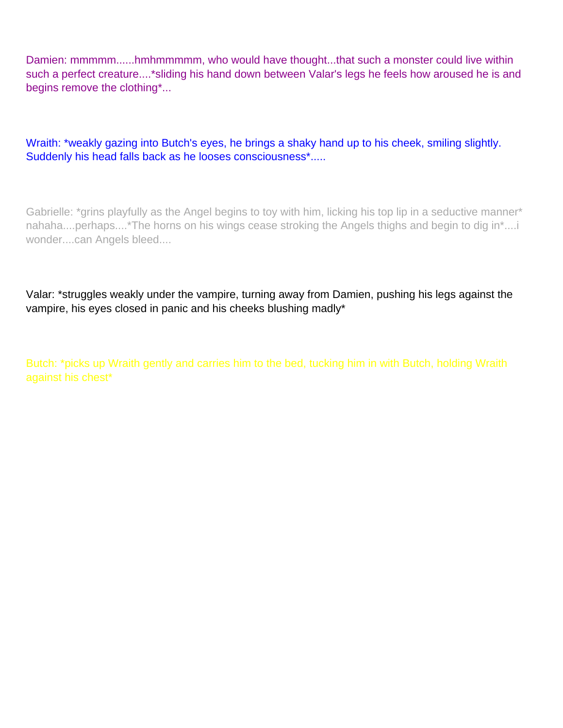Damien: mmmmm......hmhmmmmm, who would have thought...that such a monster could live within such a perfect creature....\*sliding his hand down between Valar's legs he feels how aroused he is and begins remove the clothing\*...

Wraith: \*weakly gazing into Butch's eyes, he brings a shaky hand up to his cheek, smiling slightly. Suddenly his head falls back as he looses consciousness\*.....

Gabrielle: \*grins playfully as the Angel begins to toy with him, licking his top lip in a seductive manner\* nahaha....perhaps....\*The horns on his wings cease stroking the Angels thighs and begin to dig in\*....i wonder....can Angels bleed....

Valar: \*struggles weakly under the vampire, turning away from Damien, pushing his legs against the vampire, his eyes closed in panic and his cheeks blushing madly\*

Butch: \*picks up Wraith gently and carries him to the bed, tucking him in with Butch, holding Wraith against his chest\*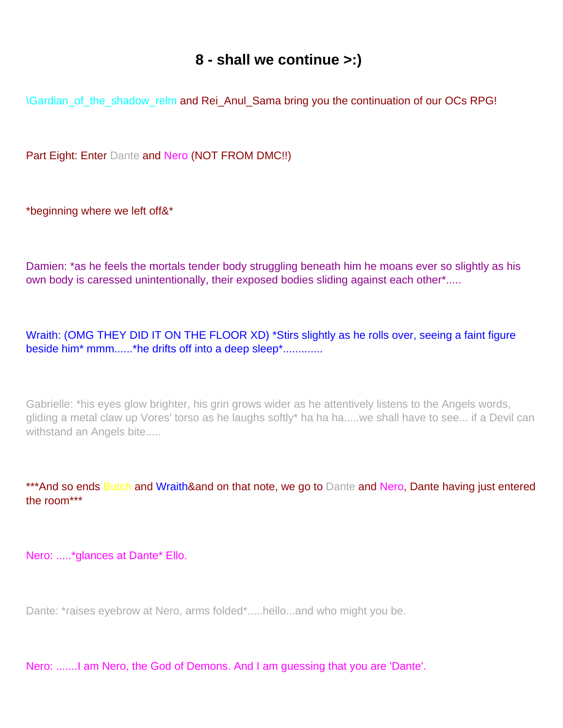#### **8 - shall we continue >:)**

<span id="page-59-0"></span>\Gardian\_of\_the\_shadow\_relm and Rei\_Anul\_Sama bring you the continuation of our OC s RPG!

Part Eight: Enter Dante and Nero (NOT FROM DMC!!)

\*beginning where we left off&\*

Damien: \*as he feels the mortals tender body struggling beneath him he moans ever so slightly as his own body is caressed unintentionally, their exposed bodies sliding against each other\*.....

Wraith: (OMG THEY DID IT ON THE FLOOR XD) \*Stirs slightly as he rolls over, seeing a faint figure beside him\* mmm......\*he drifts off into a deep sleep\*.............

Gabrielle: \*his eyes glow brighter, his grin grows wider as he attentively listens to the Angels words, gliding a metal claw up Vores' torso as he laughs softly\* ha ha ha.....we shall have to see... if a Devil can withstand an Angels bite.....

\*\*\*And so ends Butch and Wraith&and on that note, we go to Dante and Nero, Dante having just entered the room\*\*\*

Nero: .....\*glances at Dante\* Ello.

Dante: \*raises eyebrow at Nero, arms folded\*.....hello...and who might you be.

Nero: .......I am Nero, the God of Demons. And I am guessing that you are 'Dante'.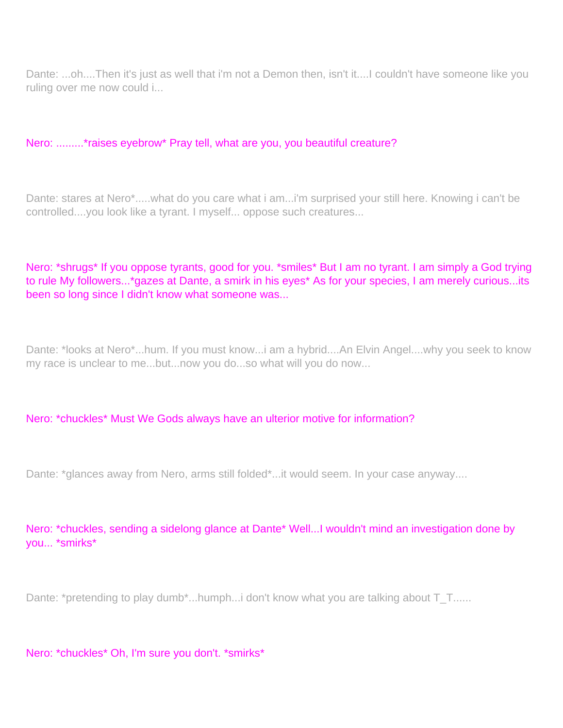Dante: ...oh....Then it's just as well that i'm not a Demon then, isn't it....I couldn't have someone like you ruling over me now could i...

#### Nero: .........\*raises eyebrow\* Pray tell, what are you, you beautiful creature?

Dante: stares at Nero\*.....what do you care what i am...i'm surprised your still here. Knowing i can't be controlled....you look like a tyrant. I myself... oppose such creatures...

#### Nero: \*shrugs\* If you oppose tyrants, good for you. \*smiles\* But I am no tyrant. I am simply a God trying to rule My followers...\*gazes at Dante, a smirk in his eyes\* As for your species, I am merely curious...its been so long since I didn't know what someone was...

Dante: \*looks at Nero\*...hum. If you must know...i am a hybrid....An Elvin Angel....why you seek to know my race is unclear to me...but...now you do...so what will you do now...

#### Nero: \*chuckles\* Must We Gods always have an ulterior motive for information?

Dante: \*glances away from Nero, arms still folded\*...it would seem. In your case anyway....

Nero: \*chuckles, sending a sidelong glance at Dante\* Well...I wouldn't mind an investigation done by you... \*smirks\*

Dante: \*pretending to play dumb\*...humph...i don't know what you are talking about T\_T......

Nero: \*chuckles\* Oh, I'm sure you don't. \*smirks\*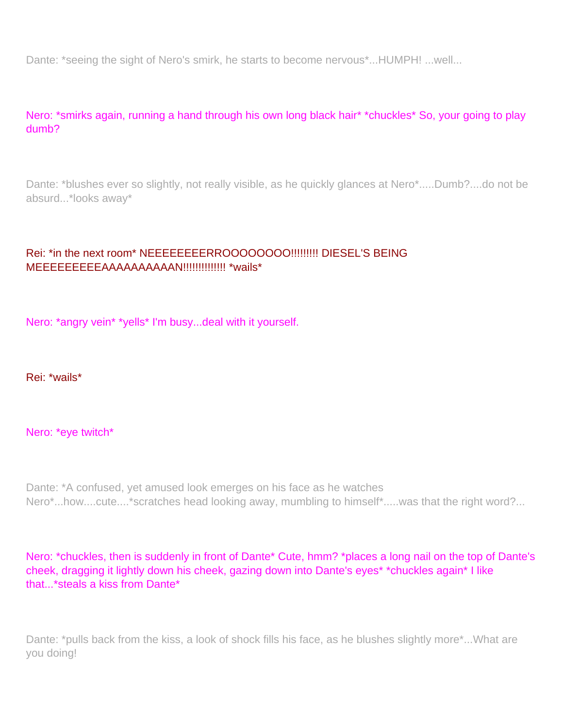Dante: \*seeing the sight of Nero's smirk, he starts to become nervous\*...HUMPH! ...well...

Nero: \*smirks again, running a hand through his own long black hair\* \*chuckles\* So, your going to play dumb?

Dante: \*blushes ever so slightly, not really visible, as he quickly glances at Nero\*.....Dumb?....do not be absurd...\*looks away\*

#### Rei: \*in the next room\* NEEEEEEEERROOOOOOOO!!!!!!!!! DIESEL'S BEING MEEEEEEEEEAAAAAAAAAAN!!!!!!!!!!!!!! \*wails\*

Nero: \*angry vein\* \*yells\* I'm busy...deal with it yourself.

Rei: \*wails\*

Nero: \*eye twitch\*

Dante: \*A confused, yet amused look emerges on his face as he watches Nero\*...how....cute....\*scratches head looking away, mumbling to himself\*.....was that the right word?...

Nero: \*chuckles, then is suddenly in front of Dante\* Cute, hmm? \*places a long nail on the top of Dante's cheek, dragging it lightly down his cheek, gazing down into Dante's eyes\* \*chuckles again\* I like that...\*steals a kiss from Dante\*

Dante: \*pulls back from the kiss, a look of shock fills his face, as he blushes slightly more\*...What are you doing!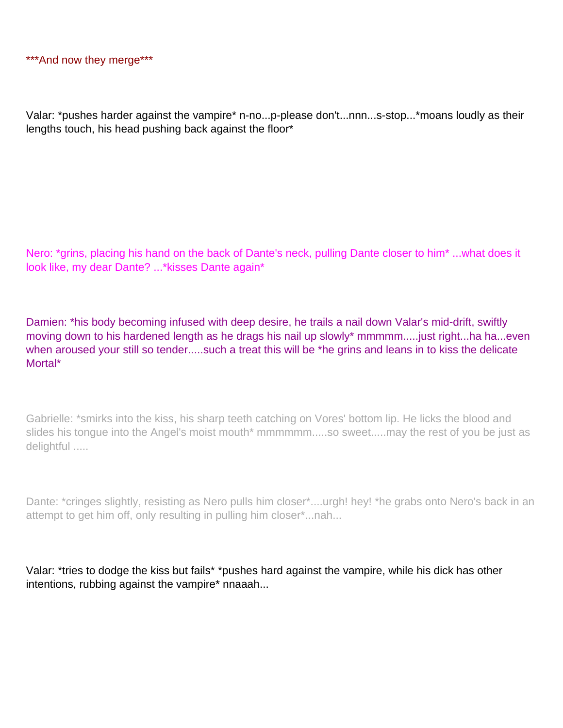Valar: \*pushes harder against the vampire\* n-no...p-please don't...nnn...s-stop...\*moans loudly as their lengths touch, his head pushing back against the floor\*

Nero: \*grins, placing his hand on the back of Dante's neck, pulling Dante closer to him\* ...what does it look like, my dear Dante? ...\*kisses Dante again\*

Damien: \*his body becoming infused with deep desire, he trails a nail down Valar's mid-drift, swiftly moving down to his hardened length as he drags his nail up slowly\* mmmmm.....just right...ha ha...even when aroused your still so tender.....such a treat this will be \*he grins and leans in to kiss the delicate Mortal\*

Gabrielle: \*smirks into the kiss, his sharp teeth catching on Vores' bottom lip. He licks the blood and slides his tongue into the Angel's moist mouth\* mmmmmm.....so sweet.....may the rest of you be just as delightful .....

Dante: \*cringes slightly, resisting as Nero pulls him closer\*....urgh! hey! \*he grabs onto Nero's back in an attempt to get him off, only resulting in pulling him closer\*...nah...

Valar: \*tries to dodge the kiss but fails\* \*pushes hard against the vampire, while his dick has other intentions, rubbing against the vampire\* nnaaah...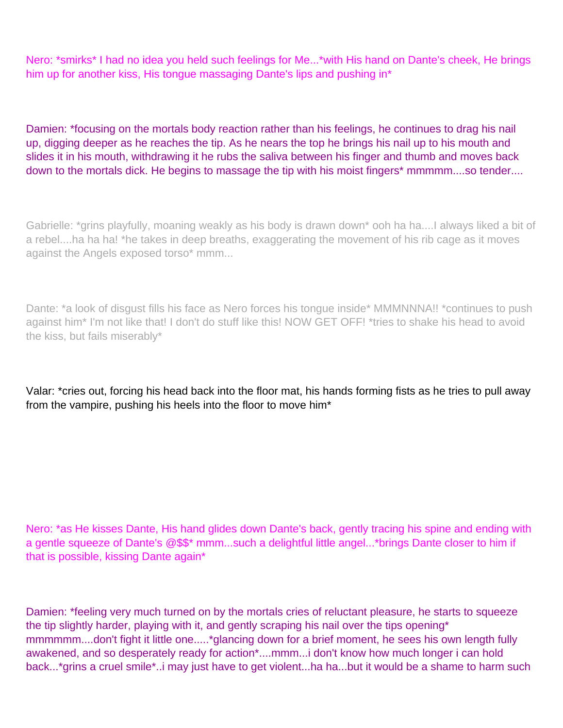Nero: \*smirks\* I had no idea you held such feelings for Me...\*with His hand on Dante's cheek, He brings him up for another kiss, His tongue massaging Dante's lips and pushing in\*

Damien: \*focusing on the mortal s body reaction rather than his feelings, he continues to drag his nail up, digging deeper as he reaches the tip. As he nears the top he brings his nail up to his mouth and slides it in his mouth, withdrawing it he rubs the saliva between his finger and thumb and moves back down to the mortals dick. He begins to massage the tip with his moist fingers\* mmmmm....so tender....

Gabrielle: \*grins playfully, moaning weakly as his body is drawn down\* ooh ha ha....I always liked a bit of a rebel....ha ha ha! \*he takes in deep breaths, exaggerating the movement of his rib cage as it moves against the Angels exposed torso\* mmm...

Dante: \*a look of disgust fills his face as Nero forces his tongue inside\* MMMNNNA!! \*continues to push against him\* I'm not like that! I don't do stuff like this! NOW GET OFF! \*tries to shake his head to avoid the kiss, but fails miserably\*

Valar: \*cries out, forcing his head back into the floor mat, his hands forming fists as he tries to pull away from the vampire, pushing his heels into the floor to move him\*

Nero: \*as He kisses Dante, His hand glides down Dante's back, gently tracing his spine and ending with a gentle squeeze of Dante's @\$\$\* mmm...such a delightful little angel...\*brings Dante closer to him if that is possible, kissing Dante again\*

Damien: \*feeling very much turned on by the mortal s cries of reluctant pleasure, he starts to squeeze the tip slightly harder, playing with it, and gently scraping his nail over the tip s opening\* mmmmmm....don't fight it little one.....\*glancing down for a brief moment, he sees his own length fully awakened, and so desperately ready for action\*....mmm...i don't know how much longer i can hold back...\*grins a cruel smile\*..i may just have to get violent...ha ha...but it would be a shame to harm such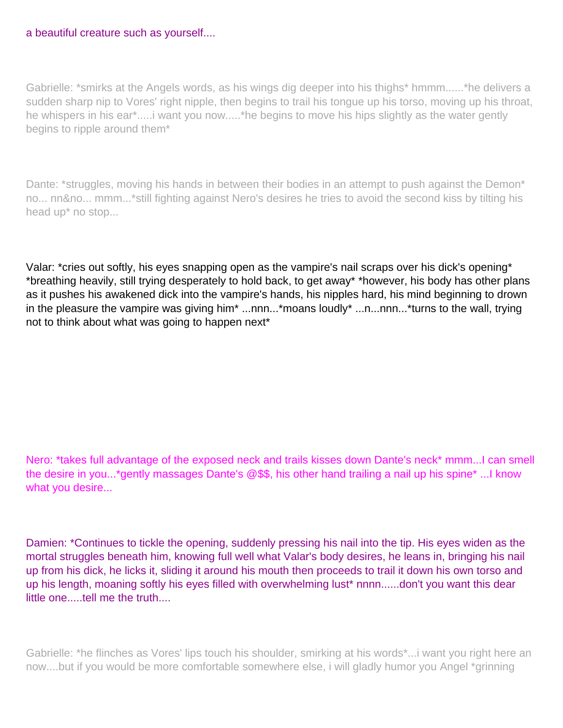#### a beautiful creature such as yourself....

Gabrielle: \*smirks at the Angel s words, as his wings dig deeper into his thighs\* hmmm......\*he delivers a sudden sharp nip to Vores' right nipple, then begins to trail his tongue up his torso, moving up his throat, he whispers in his ear\*.....i want you now.....\*he begins to move his hips slightly as the water gently begins to ripple around them\*

Dante: \*struggles, moving his hands in between their bodies in an attempt to push against the Demon\* no... nn&no... mmm...\*still fighting against Nero's desires he tries to avoid the second kiss by tilting his head up\* no stop...

Valar: \*cries out softly, his eyes snapping open as the vampire's nail scraps over his dick's opening\* \*breathing heavily, still trying desperately to hold back, to get away\* \*however, his body has other plans as it pushes his awakened dick into the vampire's hands, his nipples hard, his mind beginning to drown in the pleasure the vampire was giving him\* ...nnn...\*moans loudly\* ...n...nnn...\*turns to the wall, trying not to think about what was going to happen next\*

Nero: \*takes full advantage of the exposed neck and trails kisses down Dante's neck\* mmm...I can smell the desire in you...\*gently massages Dante's @\$\$, his other hand trailing a nail up his spine\* ...I know what you desire...

Damien: \*Continues to tickle the opening, suddenly pressing his nail into the tip. His eyes widen as the mortal struggles beneath him, knowing full well what Valar's body desires, he leans in, bringing his nail up from his dick, he licks it, sliding it around his mouth then proceeds to trail it down his own torso and up his length, moaning softly his eyes filled with overwhelming lust\* nnnn......don't you want this dear little one.....tell me the truth....

Gabrielle: \*he flinches as Vores' lips touch his shoulder, smirking at his words\*...i want you right here an now....but if you would be more comfortable somewhere else, i will gladly humor you Angel \*grinning